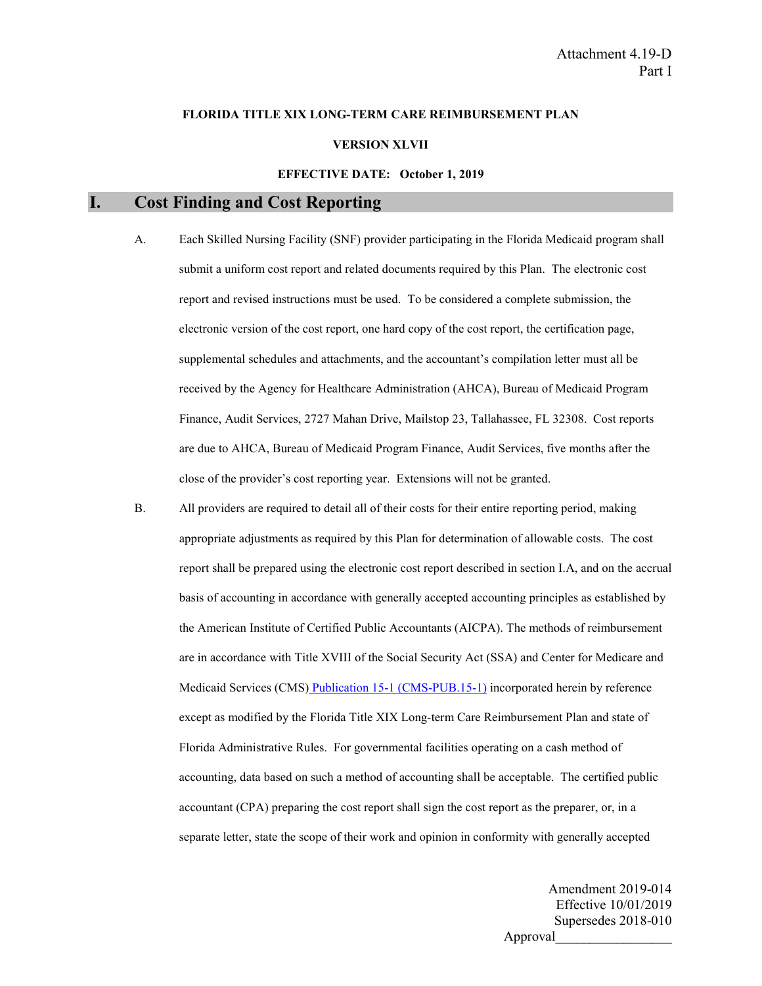#### **FLORIDA TITLE XIX LONG-TERM CARE REIMBURSEMENT PLAN**

#### **VERSION XLVII**

#### **EFFECTIVE DATE: October 1, 2019**

## **I. Cost Finding and Cost Reporting**

- A. Each Skilled Nursing Facility (SNF) provider participating in the Florida Medicaid program shall submit a uniform cost report and related documents required by this Plan. The electronic cost report and revised instructions must be used. To be considered a complete submission, the electronic version of the cost report, one hard copy of the cost report, the certification page, supplemental schedules and attachments, and the accountant's compilation letter must all be received by the Agency for Healthcare Administration (AHCA), Bureau of Medicaid Program Finance, Audit Services, 2727 Mahan Drive, Mailstop 23, Tallahassee, FL 32308. Cost reports are due to AHCA, Bureau of Medicaid Program Finance, Audit Services, five months after the close of the provider's cost reporting year. Extensions will not be granted.
- B. All providers are required to detail all of their costs for their entire reporting period, making appropriate adjustments as required by this Plan for determination of allowable costs. The cost report shall be prepared using the electronic cost report described in section I.A, and on the accrual basis of accounting in accordance with generally accepted accounting principles as established by the American Institute of Certified Public Accountants (AICPA). The methods of reimbursement are in accordance with Title XVIII of the Social Security Act (SSA) and Center for Medicare and Medicaid Services (CMS) Publication 15-1 [\(CMS-PUB.15-1\)](https://www.cms.gov/Regulations-and-Guidance/Guidance/Manuals/Paper-Based-Manuals-Items/CMS021929.html?DLPage=1&DLEntries=10&DLSort=0&DLSortDir=ascending) incorporated herein by reference except as modified by the Florida Title XIX Long-term Care Reimbursement Plan and state of Florida Administrative Rules. For governmental facilities operating on a cash method of accounting, data based on such a method of accounting shall be acceptable. The certified public accountant (CPA) preparing the cost report shall sign the cost report as the preparer, or, in a separate letter, state the scope of their work and opinion in conformity with generally accepted

Amendment 2019-014 Effective 10/01/2019 Supersedes 2018-010 Approval\_\_\_\_\_\_\_\_\_\_\_\_\_\_\_\_\_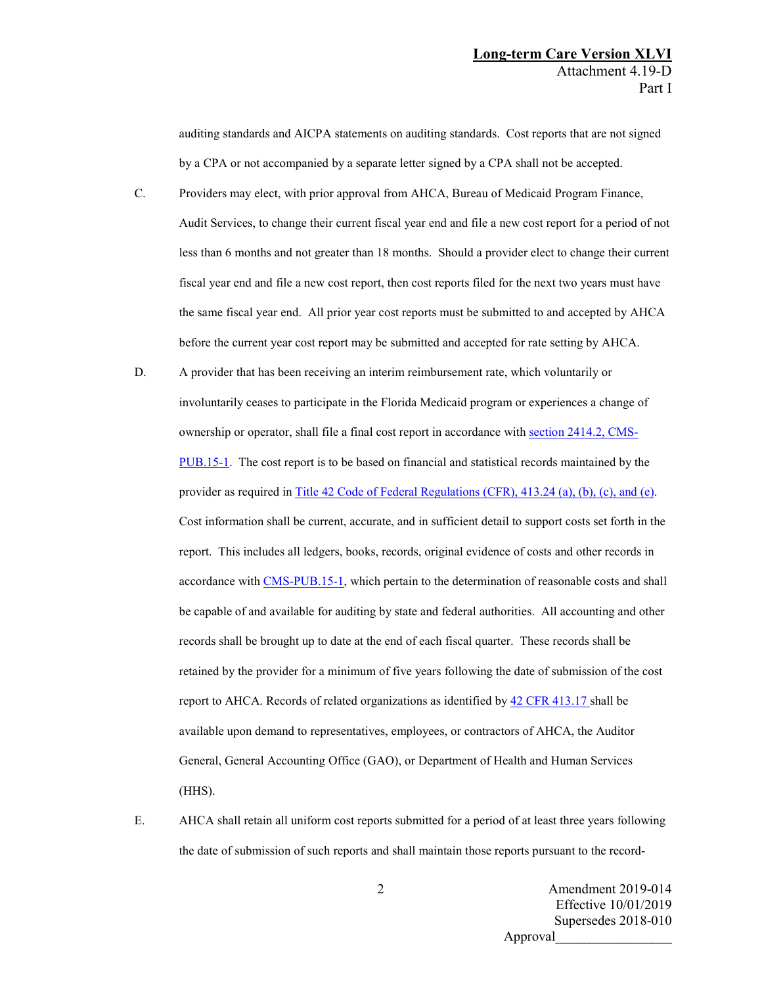auditing standards and AICPA statements on auditing standards. Cost reports that are not signed by a CPA or not accompanied by a separate letter signed by a CPA shall not be accepted.

- C. Providers may elect, with prior approval from AHCA, Bureau of Medicaid Program Finance, Audit Services, to change their current fiscal year end and file a new cost report for a period of not less than 6 months and not greater than 18 months. Should a provider elect to change their current fiscal year end and file a new cost report, then cost reports filed for the next two years must have the same fiscal year end. All prior year cost reports must be submitted to and accepted by AHCA before the current year cost report may be submitted and accepted for rate setting by AHCA.
- D. A provider that has been receiving an interim reimbursement rate, which voluntarily or involuntarily ceases to participate in the Florida Medicaid program or experiences a change of ownership or operator, shall file a final cost report in accordance with [section 2414.2, CMS-](http://www.cms.gov/Regulations-and-Guidance/Guidance/Manuals/Paper-Based-Manuals-Items/CMS021929.html?DLPage=1&DLEntries=10&DLSort=0&DLSortDir=ascending)[PUB.15-1.](http://www.cms.gov/Regulations-and-Guidance/Guidance/Manuals/Paper-Based-Manuals-Items/CMS021929.html?DLPage=1&DLEntries=10&DLSort=0&DLSortDir=ascending) The cost report is to be based on financial and statistical records maintained by the provider as required in [Title 42 Code of Federal Regulations \(CFR\), 413.24 \(a\), \(b\), \(c\), and \(e\).](http://www.ecfr.gov/cgi-bin/text-idx?SID=d08b4d1c79a4ae101fbb0e1c28d5d234&mc=true&node=se42.2.413_124&rgn=div8) Cost information shall be current, accurate, and in sufficient detail to support costs set forth in the report. This includes all ledgers, books, records, original evidence of costs and other records in accordance wit[h CMS-PUB.15-1,](https://www.cms.gov/Regulations-and-Guidance/Guidance/Manuals/Paper-Based-Manuals-Items/CMS021929.html) which pertain to the determination of reasonable costs and shall be capable of and available for auditing by state and federal authorities. All accounting and other records shall be brought up to date at the end of each fiscal quarter. These records shall be retained by the provider for a minimum of five years following the date of submission of the cost report to AHCA. Records of related organizations as identified by [42 CFR 413.17](https://www.govinfo.gov/content/pkg/CFR-2018-title42-vol2/pdf/CFR-2018-title42-vol2-sec413-17.pdf) shall be available upon demand to representatives, employees, or contractors of AHCA, the Auditor General, General Accounting Office (GAO), or Department of Health and Human Services (HHS).
- E. AHCA shall retain all uniform cost reports submitted for a period of at least three years following the date of submission of such reports and shall maintain those reports pursuant to the record-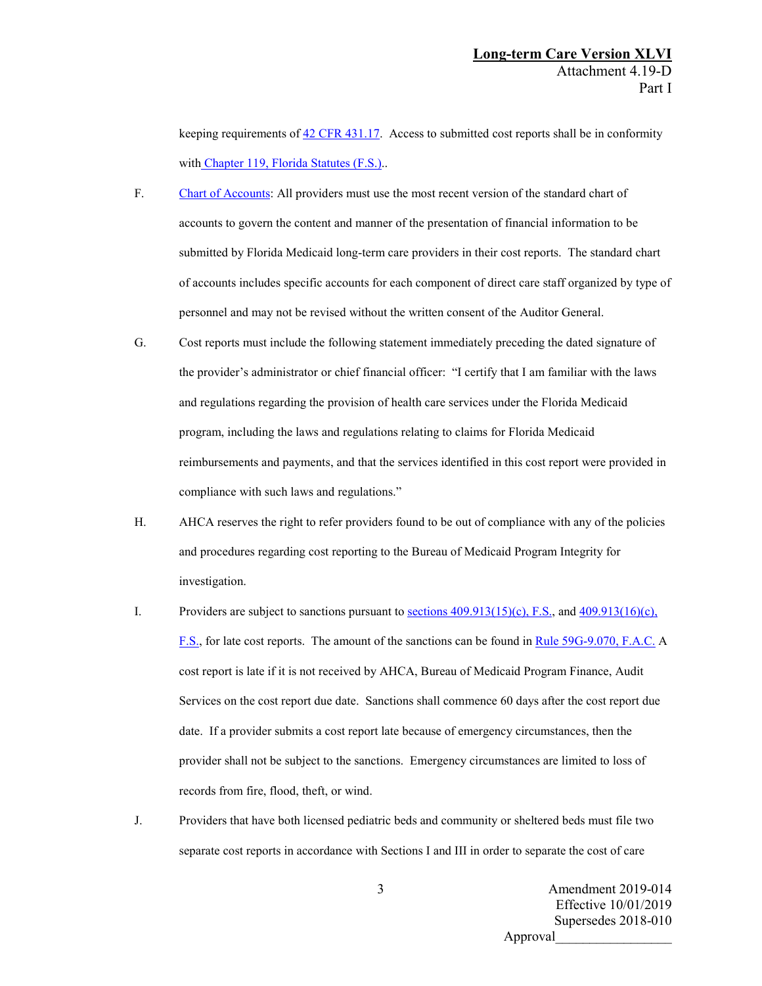keeping requirements o[f 42 CFR 431.17.](https://www.govinfo.gov/content/pkg/CFR-2018-title42-vol4/pdf/CFR-2018-title42-vol4-sec431-17.pdf) Access to submitted cost reports shall be in conformity with [Chapter 119, Florida Statutes \(F.S.\).](http://www.leg.state.fl.us/statutes/index.cfm?App_mode=Display_Statute&URL=0100-0199/0119/0119ContentsIndex.html&StatuteYear=2019&Title=%2D%3E2019%2D%3EChapter%20119).

- F. [Chart of Accounts:](http://ahca.myflorida.com/Medicaid/cost_reim/ecr/chart_of_accounts_090409.pdf) All providers must use the most recent version of the standard chart of accounts to govern the content and manner of the presentation of financial information to be submitted by Florida Medicaid long-term care providers in their cost reports. The standard chart of accounts includes specific accounts for each component of direct care staff organized by type of personnel and may not be revised without the written consent of the Auditor General.
- G. Cost reports must include the following statement immediately preceding the dated signature of the provider's administrator or chief financial officer: "I certify that I am familiar with the laws and regulations regarding the provision of health care services under the Florida Medicaid program, including the laws and regulations relating to claims for Florida Medicaid reimbursements and payments, and that the services identified in this cost report were provided in compliance with such laws and regulations."
- H. AHCA reserves the right to refer providers found to be out of compliance with any of the policies and procedures regarding cost reporting to the Bureau of Medicaid Program Integrity for investigation.
- I. Providers are subject to sanctions pursuant to sections  $409.913(15)(c)$ , F.S., and  $409.913(16)(c)$ , [F.S.](http://www.leg.state.fl.us/Statutes/index.cfm?App_mode=Display_Statute&Search_String=&URL=0400-0499/0409/Sections/0409.913.html), for late cost reports. The amount of the sanctions can be found in [Rule 59G-9.070, F.A.C.](https://www.flrules.org/gateway/RuleNo.asp?ID=59G-9.070) A cost report is late if it is not received by AHCA, Bureau of Medicaid Program Finance, Audit Services on the cost report due date. Sanctions shall commence 60 days after the cost report due date. If a provider submits a cost report late because of emergency circumstances, then the provider shall not be subject to the sanctions. Emergency circumstances are limited to loss of records from fire, flood, theft, or wind.
- J. Providers that have both licensed pediatric beds and community or sheltered beds must file two separate cost reports in accordance with Sections I and III in order to separate the cost of care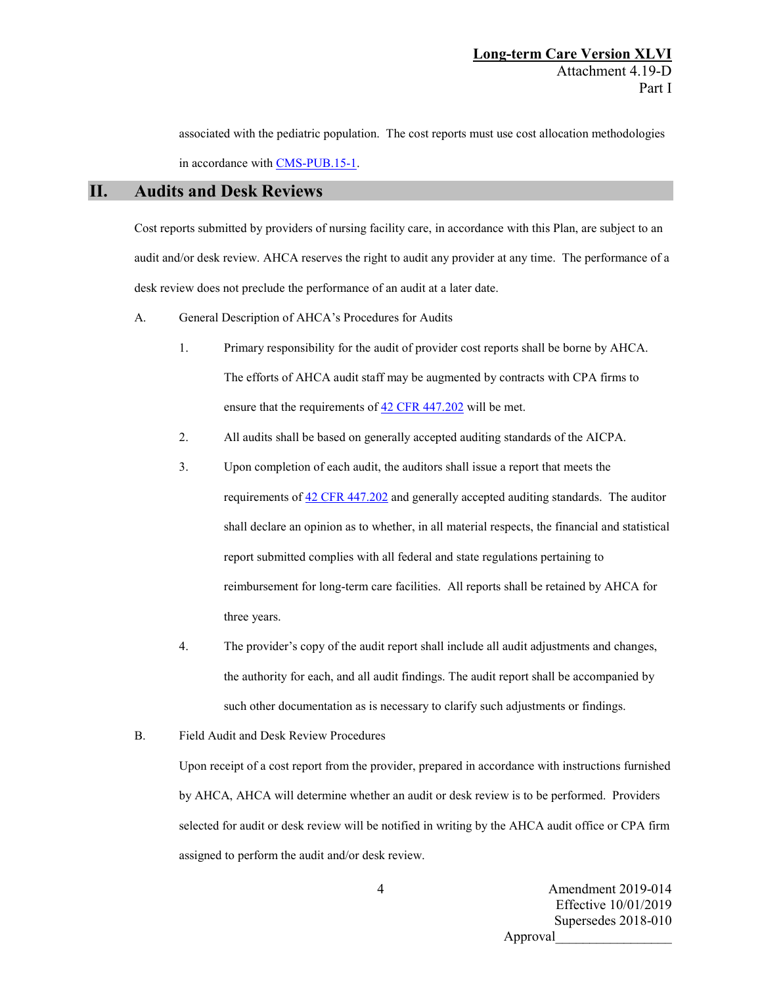associated with the pediatric population. The cost reports must use cost allocation methodologies in accordance with [CMS-PUB.15-1.](https://www.cms.gov/Regulations-and-Guidance/Guidance/Manuals/Paper-Based-Manuals-Items/CMS021929.html)

# **II. Audits and Desk Reviews**

Cost reports submitted by providers of nursing facility care, in accordance with this Plan, are subject to an audit and/or desk review. AHCA reserves the right to audit any provider at any time. The performance of a desk review does not preclude the performance of an audit at a later date.

- A. General Description of AHCA's Procedures for Audits
	- 1. Primary responsibility for the audit of provider cost reports shall be borne by AHCA. The efforts of AHCA audit staff may be augmented by contracts with CPA firms to ensure that the requirements of [42 CFR 447.202](https://www.govinfo.gov/content/pkg/CFR-2018-title42-vol4/pdf/CFR-2018-title42-vol4-sec447-202.pdf) will be met.
	- 2. All audits shall be based on generally accepted auditing standards of the AICPA.
	- 3. Upon completion of each audit, the auditors shall issue a report that meets the requirements of [42 CFR 447.202](https://www.govinfo.gov/content/pkg/CFR-2018-title42-vol4/pdf/CFR-2018-title42-vol4-sec447-202.pdf) and generally accepted auditing standards. The auditor shall declare an opinion as to whether, in all material respects, the financial and statistical report submitted complies with all federal and state regulations pertaining to reimbursement for long-term care facilities. All reports shall be retained by AHCA for three years.
	- 4. The provider's copy of the audit report shall include all audit adjustments and changes, the authority for each, and all audit findings. The audit report shall be accompanied by such other documentation as is necessary to clarify such adjustments or findings.
- B. Field Audit and Desk Review Procedures

Upon receipt of a cost report from the provider, prepared in accordance with instructions furnished by AHCA, AHCA will determine whether an audit or desk review is to be performed. Providers selected for audit or desk review will be notified in writing by the AHCA audit office or CPA firm assigned to perform the audit and/or desk review.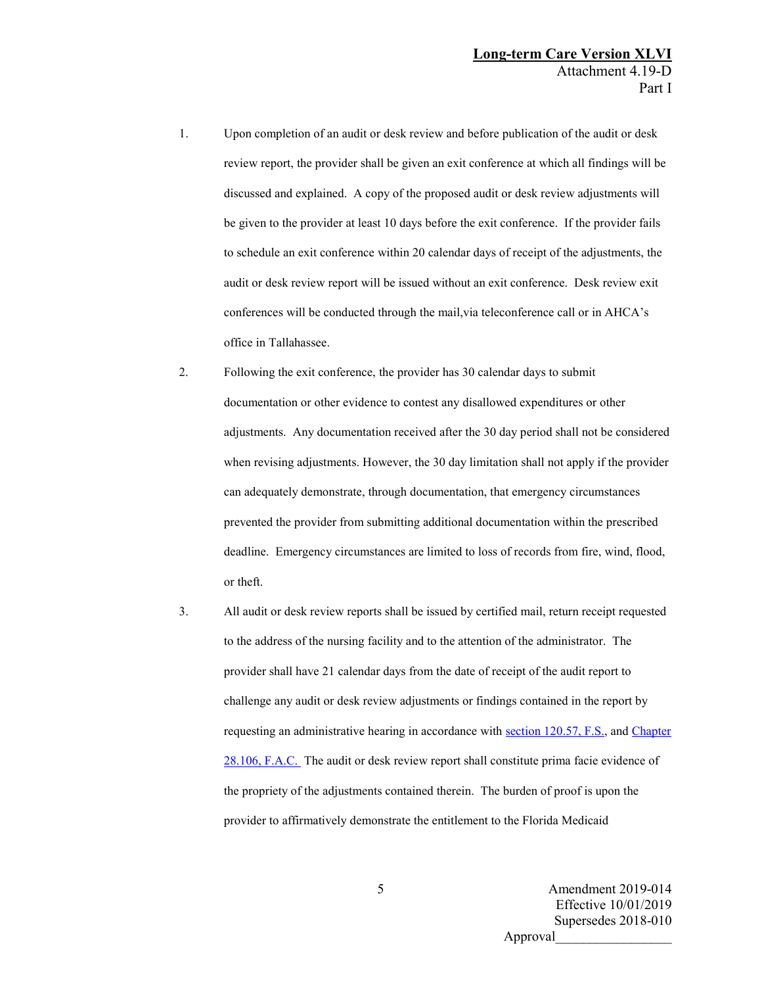- 1. Upon completion of an audit or desk review and before publication of the audit or desk review report, the provider shall be given an exit conference at which all findings will be discussed and explained. A copy of the proposed audit or desk review adjustments will be given to the provider at least 10 days before the exit conference. If the provider fails to schedule an exit conference within 20 calendar days of receipt of the adjustments, the audit or desk review report will be issued without an exit conference. Desk review exit conferences will be conducted through the mail,via teleconference call or in AHCA's office in Tallahassee.
- 2. Following the exit conference, the provider has 30 calendar days to submit documentation or other evidence to contest any disallowed expenditures or other adjustments. Any documentation received after the 30 day period shall not be considered when revising adjustments. However, the 30 day limitation shall not apply if the provider can adequately demonstrate, through documentation, that emergency circumstances prevented the provider from submitting additional documentation within the prescribed deadline. Emergency circumstances are limited to loss of records from fire, wind, flood, or theft.
- 3. All audit or desk review reports shall be issued by certified mail, return receipt requested to the address of the nursing facility and to the attention of the administrator. The provider shall have 21 calendar days from the date of receipt of the audit report to challenge any audit or desk review adjustments or findings contained in the report by requesting an administrative hearing in accordance with [section 120.57, F.S.,](http://www.leg.state.fl.us/statutes/index.cfm?App_mode=Display_Statute&Search_String=&URL=0100-0199/0120/Sections/0120.57.html) an[d Chapter](https://www.flrules.org/gateway/ChapterHome.asp?Chapter=28-106)  [28.106, F.A.C.](https://www.flrules.org/gateway/ChapterHome.asp?Chapter=28-106) The audit or desk review report shall constitute prima facie evidence of the propriety of the adjustments contained therein. The burden of proof is upon the provider to affirmatively demonstrate the entitlement to the Florida Medicaid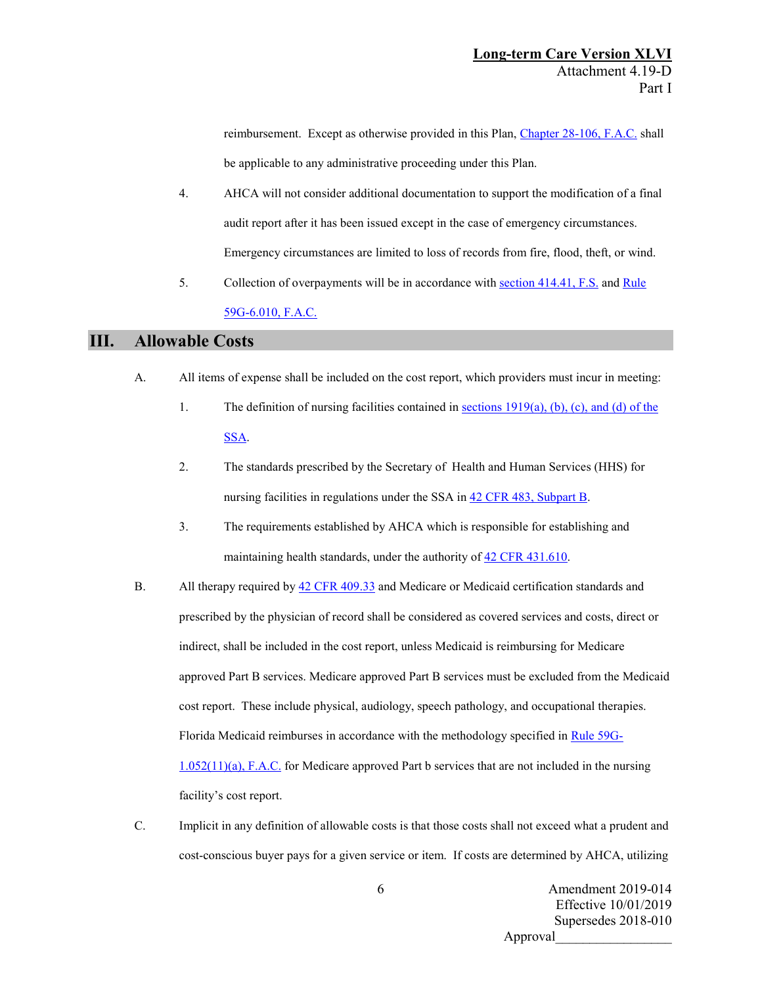reimbursement. Except as otherwise provided in this Plan, [Chapter 28-106, F.A.C.](https://www.flrules.org/gateway/ChapterHome.asp?Chapter=28-106) shall be applicable to any administrative proceeding under this Plan.

- 4. AHCA will not consider additional documentation to support the modification of a final audit report after it has been issued except in the case of emergency circumstances. Emergency circumstances are limited to loss of records from fire, flood, theft, or wind.
- 5. Collection of overpayments will be in accordance wit[h section 414.41, F.S.](http://www.leg.state.fl.us/statutes/index.cfm?mode=View%20Statutes&SubMenu=1&App_mode=Display_Statute&Search_String=414.41&URL=0400-0499/0414/Sections/0414.41.html) an[d Rule](https://www.flrules.org/gateway/ruleNo.asp?id=59G-6.010)  [59G-6.010, F.A.C.](https://www.flrules.org/gateway/ruleNo.asp?id=59G-6.010)

## **III. Allowable Costs**

- A. All items of expense shall be included on the cost report, which providers must incur in meeting:
	- 1. The definition of nursing facilities contained in [sections 1919\(a\), \(b\), \(c\), and \(d\) of the](http://www.ssa.gov/OP_Home/ssact/title19/1919.htm)  [SSA.](http://www.ssa.gov/OP_Home/ssact/title19/1919.htm)
	- 2. The standards prescribed by the Secretary of Health and Human Services (HHS) for nursing facilities in regulations under the SSA i[n 42 CFR 483, Subpart B.](https://www.govinfo.gov/content/pkg/CFR-2018-title42-vol5/pdf/CFR-2018-title42-vol5-sec483-1.pdf)
	- 3. The requirements established by AHCA which is responsible for establishing and maintaining health standards, under the authority of [42 CFR 431.610.](https://www.govinfo.gov/content/pkg/CFR-2018-title42-vol4/pdf/CFR-2018-title42-vol4-sec431-610.pdf)
- B. All therapy required by [42 CFR 409.33](https://www.govinfo.gov/content/pkg/CFR-2018-title42-vol2/pdf/CFR-2018-title42-vol2-sec409-33.pdf) and Medicare or Medicaid certification standards and prescribed by the physician of record shall be considered as covered services and costs, direct or indirect, shall be included in the cost report, unless Medicaid is reimbursing for Medicare approved Part B services. Medicare approved Part B services must be excluded from the Medicaid cost report. These include physical, audiology, speech pathology, and occupational therapies. Florida Medicaid reimburses in accordance with the methodology specified in [Rule 59G-](https://www.flrules.org/gateway/ruleNo.asp?id=59G-1.052https://www.flrules.org/gateway/ruleNo.asp?id=59G-1.052)[1.052\(11\)\(a\), F.A.C.](https://www.flrules.org/gateway/ruleNo.asp?id=59G-1.052https://www.flrules.org/gateway/ruleNo.asp?id=59G-1.052) for Medicare approved Part b services that are not included in the nursing facility's cost report.
- C. Implicit in any definition of allowable costs is that those costs shall not exceed what a prudent and cost-conscious buyer pays for a given service or item. If costs are determined by AHCA, utilizing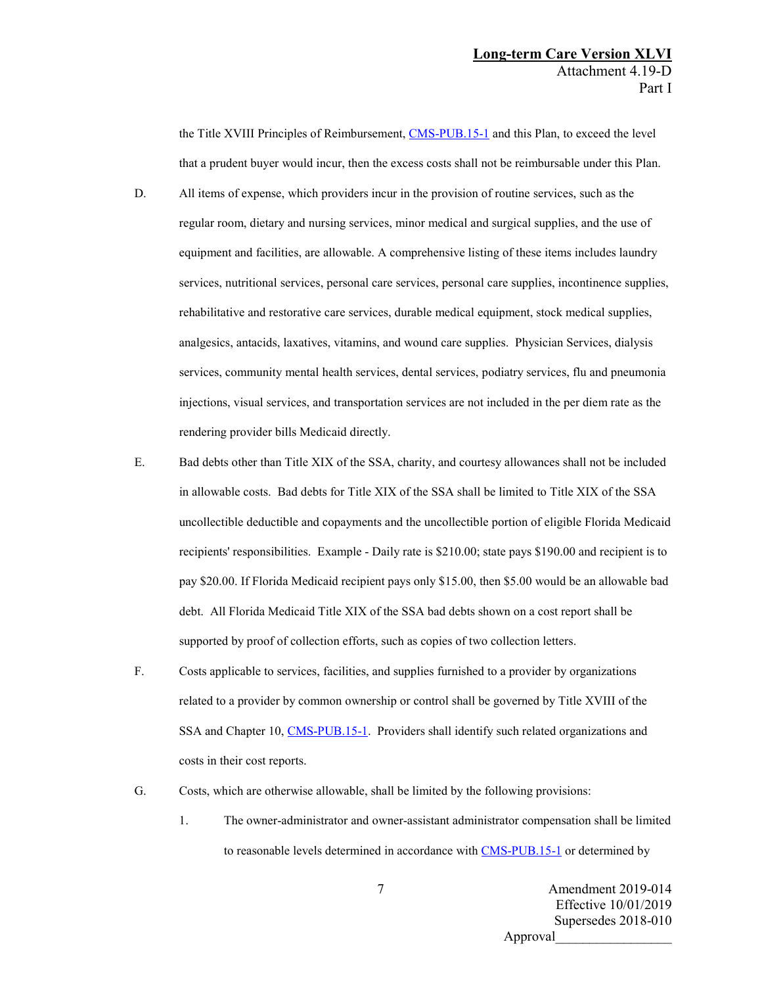the Title XVIII Principles of Reimbursement[, CMS-PUB.15-1](https://www.cms.gov/Regulations-and-Guidance/Guidance/Manuals/Paper-Based-Manuals-Items/CMS021929.html?DLPage=1&DLEntries=10&DLSort=0&DLSortDir=ascending) and this Plan, to exceed the level that a prudent buyer would incur, then the excess costs shall not be reimbursable under this Plan.

- D. All items of expense, which providers incur in the provision of routine services, such as the regular room, dietary and nursing services, minor medical and surgical supplies, and the use of equipment and facilities, are allowable. A comprehensive listing of these items includes laundry services, nutritional services, personal care services, personal care supplies, incontinence supplies, rehabilitative and restorative care services, durable medical equipment, stock medical supplies, analgesics, antacids, laxatives, vitamins, and wound care supplies. Physician Services, dialysis services, community mental health services, dental services, podiatry services, flu and pneumonia injections, visual services, and transportation services are not included in the per diem rate as the rendering provider bills Medicaid directly.
- E. Bad debts other than Title XIX of the SSA, charity, and courtesy allowances shall not be included in allowable costs. Bad debts for Title XIX of the SSA shall be limited to Title XIX of the SSA uncollectible deductible and copayments and the uncollectible portion of eligible Florida Medicaid recipients' responsibilities. Example - Daily rate is \$210.00; state pays \$190.00 and recipient is to pay \$20.00. If Florida Medicaid recipient pays only \$15.00, then \$5.00 would be an allowable bad debt. All Florida Medicaid Title XIX of the SSA bad debts shown on a cost report shall be supported by proof of collection efforts, such as copies of two collection letters.
- F. Costs applicable to services, facilities, and supplies furnished to a provider by organizations related to a provider by common ownership or control shall be governed by Title XVIII of the SSA and Chapter 10, [CMS-PUB.15-1.](https://www.cms.gov/Regulations-and-Guidance/Guidance/Manuals/Paper-Based-Manuals-Items/CMS021929.html?DLPage=1&DLEntries=10&DLSort=0&DLSortDir=ascending) Providers shall identify such related organizations and costs in their cost reports.
- G. Costs, which are otherwise allowable, shall be limited by the following provisions:
	- 1. The owner-administrator and owner-assistant administrator compensation shall be limited to reasonable levels determined in accordance with [CMS-PUB.15-1](https://www.cms.gov/Regulations-and-Guidance/Guidance/Manuals/Paper-Based-Manuals-Items/CMS021929.html?DLPage=1&DLEntries=10&DLSort=0&DLSortDir=ascending) or determined by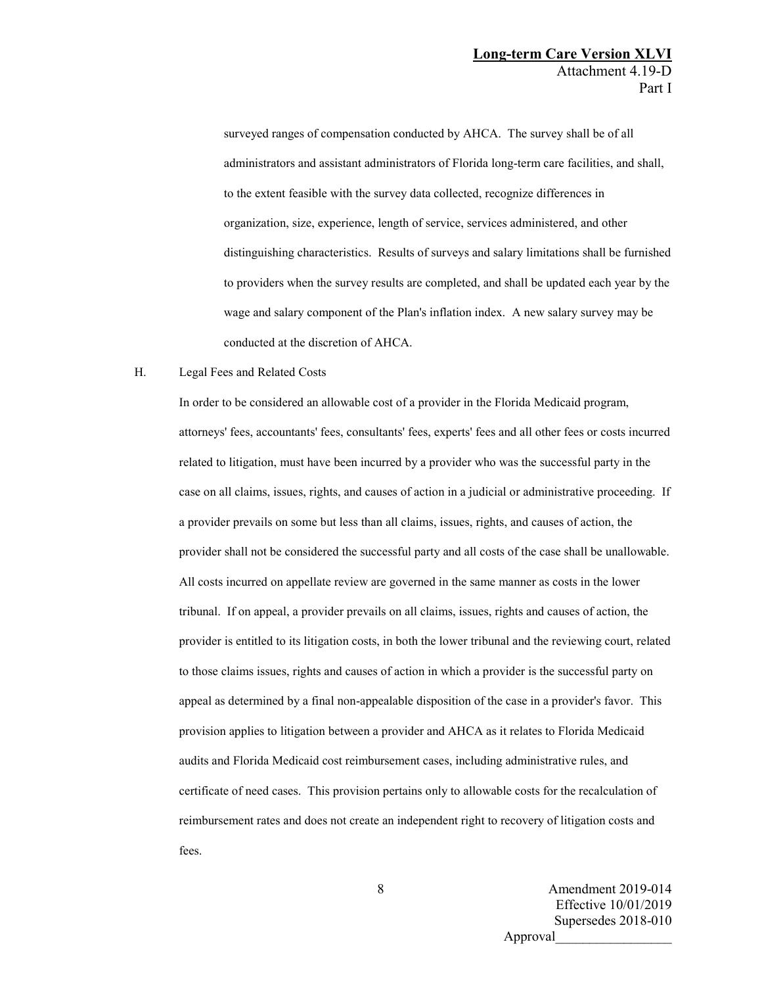surveyed ranges of compensation conducted by AHCA. The survey shall be of all administrators and assistant administrators of Florida long-term care facilities, and shall, to the extent feasible with the survey data collected, recognize differences in organization, size, experience, length of service, services administered, and other distinguishing characteristics. Results of surveys and salary limitations shall be furnished to providers when the survey results are completed, and shall be updated each year by the wage and salary component of the Plan's inflation index. A new salary survey may be conducted at the discretion of AHCA.

### H. Legal Fees and Related Costs

In order to be considered an allowable cost of a provider in the Florida Medicaid program, attorneys' fees, accountants' fees, consultants' fees, experts' fees and all other fees or costs incurred related to litigation, must have been incurred by a provider who was the successful party in the case on all claims, issues, rights, and causes of action in a judicial or administrative proceeding. If a provider prevails on some but less than all claims, issues, rights, and causes of action, the provider shall not be considered the successful party and all costs of the case shall be unallowable. All costs incurred on appellate review are governed in the same manner as costs in the lower tribunal. If on appeal, a provider prevails on all claims, issues, rights and causes of action, the provider is entitled to its litigation costs, in both the lower tribunal and the reviewing court, related to those claims issues, rights and causes of action in which a provider is the successful party on appeal as determined by a final non-appealable disposition of the case in a provider's favor. This provision applies to litigation between a provider and AHCA as it relates to Florida Medicaid audits and Florida Medicaid cost reimbursement cases, including administrative rules, and certificate of need cases. This provision pertains only to allowable costs for the recalculation of reimbursement rates and does not create an independent right to recovery of litigation costs and fees.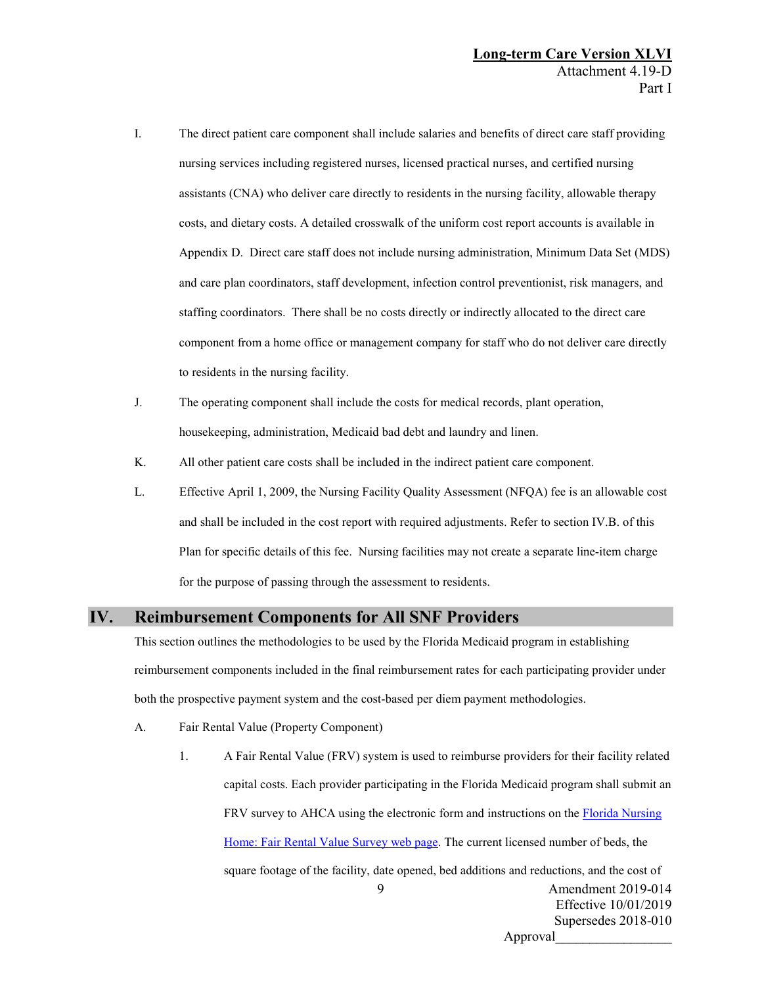- I. The direct patient care component shall include salaries and benefits of direct care staff providing nursing services including registered nurses, licensed practical nurses, and certified nursing assistants (CNA) who deliver care directly to residents in the nursing facility, allowable therapy costs, and dietary costs. A detailed crosswalk of the uniform cost report accounts is available in Appendix D. Direct care staff does not include nursing administration, Minimum Data Set (MDS) and care plan coordinators, staff development, infection control preventionist, risk managers, and staffing coordinators. There shall be no costs directly or indirectly allocated to the direct care component from a home office or management company for staff who do not deliver care directly to residents in the nursing facility.
- J. The operating component shall include the costs for medical records, plant operation, housekeeping, administration, Medicaid bad debt and laundry and linen.
- K. All other patient care costs shall be included in the indirect patient care component.
- L. Effective April 1, 2009, the Nursing Facility Quality Assessment (NFQA) fee is an allowable cost and shall be included in the cost report with required adjustments. Refer to section IV.B. of this Plan for specific details of this fee. Nursing facilities may not create a separate line-item charge for the purpose of passing through the assessment to residents.

## **IV. Reimbursement Components for All SNF Providers**

This section outlines the methodologies to be used by the Florida Medicaid program in establishing reimbursement components included in the final reimbursement rates for each participating provider under both the prospective payment system and the cost-based per diem payment methodologies.

- A. Fair Rental Value (Property Component)
	- 9 Amendment 2019-014 1. A Fair Rental Value (FRV) system is used to reimburse providers for their facility related capital costs. Each provider participating in the Florida Medicaid program shall submit an FRV survey to AHCA using the electronic form and instructions on the **Florida Nursing** [Home: Fair Rental Value Survey web page.](http://ahca.myflorida.com/medicaid/Finance/finance/nh_rates/frvs.shtml) The current licensed number of beds, the square footage of the facility, date opened, bed additions and reductions, and the cost of

Effective 10/01/2019 Supersedes 2018-010 Approval\_\_\_\_\_\_\_\_\_\_\_\_\_\_\_\_\_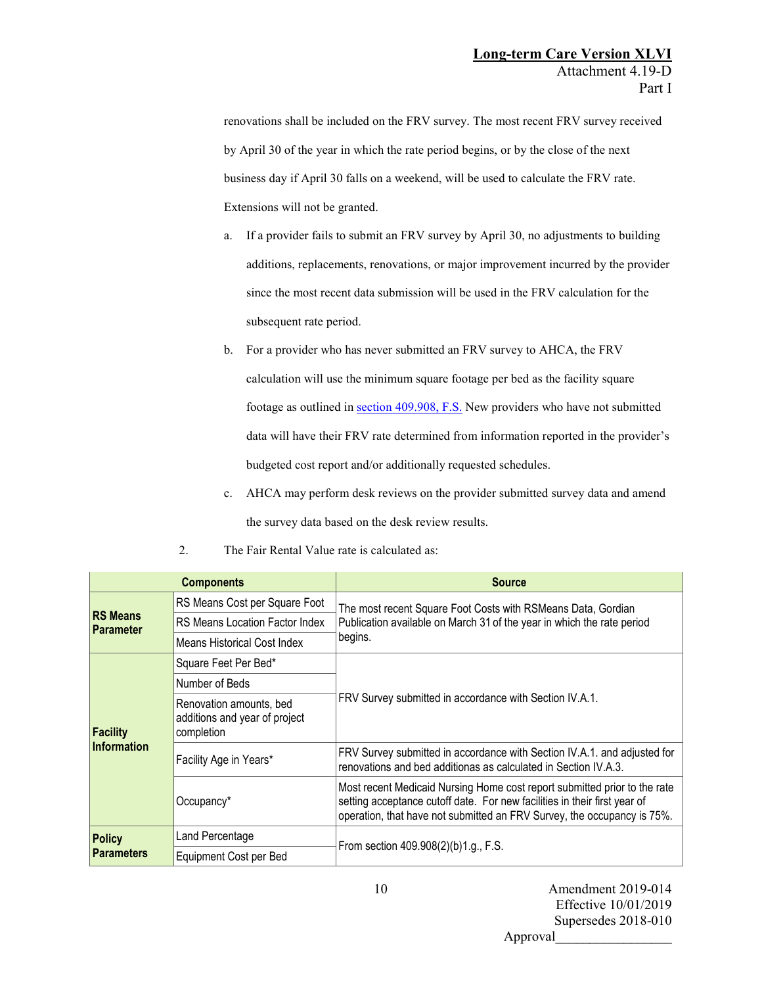renovations shall be included on the FRV survey. The most recent FRV survey received by April 30 of the year in which the rate period begins, or by the close of the next business day if April 30 falls on a weekend, will be used to calculate the FRV rate. Extensions will not be granted.

- a. If a provider fails to submit an FRV survey by April 30, no adjustments to building additions, replacements, renovations, or major improvement incurred by the provider since the most recent data submission will be used in the FRV calculation for the subsequent rate period.
- b. For a provider who has never submitted an FRV survey to AHCA, the FRV calculation will use the minimum square footage per bed as the facility square footage as outlined in [section 409.908, F.S.](http://www.leg.state.fl.us/statutes/index.cfm?App_mode=Display_Statute&Search_String=&URL=0400-0499/0409/Sections/0409.908.html) New providers who have not submitted data will have their FRV rate determined from information reported in the provider's budgeted cost report and/or additionally requested schedules.
- c. AHCA may perform desk reviews on the provider submitted survey data and amend the survey data based on the desk review results.

|                                     | <b>Components</b>                                                      | <b>Source</b>                                                                                                                                                                                                                     |  |
|-------------------------------------|------------------------------------------------------------------------|-----------------------------------------------------------------------------------------------------------------------------------------------------------------------------------------------------------------------------------|--|
| <b>RS Means</b><br><b>Parameter</b> | RS Means Cost per Square Foot                                          | The most recent Square Foot Costs with RSMeans Data, Gordian                                                                                                                                                                      |  |
|                                     | RS Means Location Factor Index                                         | Publication available on March 31 of the year in which the rate period                                                                                                                                                            |  |
|                                     | Means Historical Cost Index                                            | begins.                                                                                                                                                                                                                           |  |
|                                     | Square Feet Per Bed*                                                   |                                                                                                                                                                                                                                   |  |
|                                     | Number of Beds                                                         |                                                                                                                                                                                                                                   |  |
| <b>Facility</b>                     | Renovation amounts, bed<br>additions and year of project<br>completion | FRV Survey submitted in accordance with Section IV.A.1.                                                                                                                                                                           |  |
| <b>Information</b>                  | Facility Age in Years*                                                 | FRV Survey submitted in accordance with Section IV.A.1. and adjusted for<br>renovations and bed additionas as calculated in Section IV.A.3.                                                                                       |  |
|                                     | Occupancy*                                                             | Most recent Medicaid Nursing Home cost report submitted prior to the rate<br>setting acceptance cutoff date. For new facilities in their first year of<br>operation, that have not submitted an FRV Survey, the occupancy is 75%. |  |
| <b>Policy</b>                       | Land Percentage                                                        |                                                                                                                                                                                                                                   |  |
| <b>Parameters</b>                   | Equipment Cost per Bed                                                 | From section 409.908(2)(b)1.g., F.S.                                                                                                                                                                                              |  |

2. The Fair Rental Value rate is calculated as: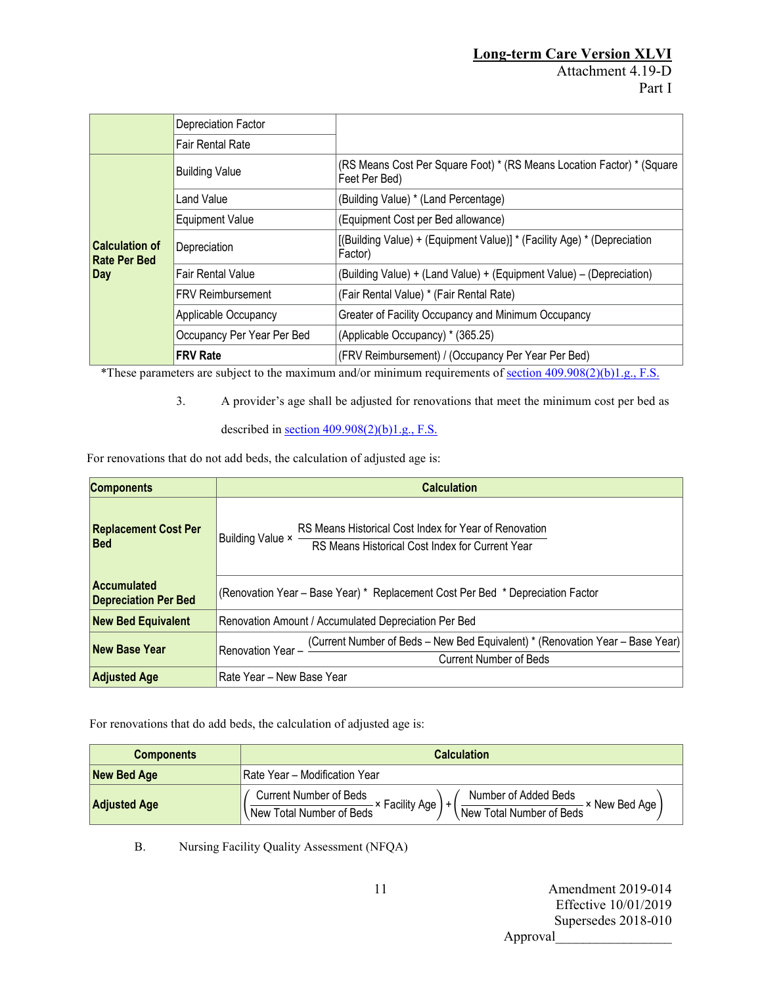**Long-term Care Version XLVI** Attachment 4.19-D

|                                       | <b>Depreciation Factor</b> |                                                                                         |
|---------------------------------------|----------------------------|-----------------------------------------------------------------------------------------|
|                                       | <b>Fair Rental Rate</b>    |                                                                                         |
|                                       | <b>Building Value</b>      | (RS Means Cost Per Square Foot) * (RS Means Location Factor) * (Square<br>Feet Per Bed) |
|                                       | Land Value                 | (Building Value) * (Land Percentage)                                                    |
|                                       | <b>Equipment Value</b>     | (Equipment Cost per Bed allowance)                                                      |
| <b>Calculation of</b><br>Rate Per Bed | Depreciation               | [(Building Value) + (Equipment Value)] * (Facility Age) * (Depreciation<br>Factor)      |
| Day                                   | <b>Fair Rental Value</b>   | (Building Value) + (Land Value) + (Equipment Value) – (Depreciation)                    |
|                                       | <b>FRV Reimbursement</b>   | (Fair Rental Value) * (Fair Rental Rate)                                                |
|                                       | Applicable Occupancy       | Greater of Facility Occupancy and Minimum Occupancy                                     |
|                                       | Occupancy Per Year Per Bed | (Applicable Occupancy) * (365.25)                                                       |
|                                       | <b>FRV Rate</b>            | (FRV Reimbursement) / (Occupancy Per Year Per Bed)                                      |

\*These parameters are subject to the maximum and/or minimum requirements of [section 409.908\(2\)\(b\)1.g., F.S.](http://www.leg.state.fl.us/statutes/index.cfm?App_mode=Display_Statute&Search_String=&URL=0400-0499/0409/Sections/0409.908.html)

3. A provider's age shall be adjusted for renovations that meet the minimum cost per bed as

described in section  $409.908(2)(b)1.g., F.S.$ 

For renovations that do not add beds, the calculation of adjusted age is:

| <b>Components</b>                                 | <b>Calculation</b>                                                                                                                 |                                                                                                          |  |
|---------------------------------------------------|------------------------------------------------------------------------------------------------------------------------------------|----------------------------------------------------------------------------------------------------------|--|
| <b>Replacement Cost Per</b><br><b>Bed</b>         | Building Value x                                                                                                                   | RS Means Historical Cost Index for Year of Renovation<br>RS Means Historical Cost Index for Current Year |  |
| <b>Accumulated</b><br><b>Depreciation Per Bed</b> | (Renovation Year – Base Year) * Replacement Cost Per Bed * Depreciation Factor                                                     |                                                                                                          |  |
| <b>New Bed Equivalent</b>                         | Renovation Amount / Accumulated Depreciation Per Bed                                                                               |                                                                                                          |  |
| <b>New Base Year</b>                              | (Current Number of Beds - New Bed Equivalent) * (Renovation Year - Base Year)<br>Renovation Year-<br><b>Current Number of Beds</b> |                                                                                                          |  |
| <b>Adjusted Age</b>                               | Rate Year - New Base Year                                                                                                          |                                                                                                          |  |

For renovations that do add beds, the calculation of adjusted age is:

| <b>Components</b>   | <b>Calculation</b>                                                                                                                                                     |
|---------------------|------------------------------------------------------------------------------------------------------------------------------------------------------------------------|
| <b>New Bed Age</b>  | Rate Year – Modification Year                                                                                                                                          |
| <b>Adjusted Age</b> | <b>Current Number of Beds</b><br>Number of Added Beds<br>× New Bed Age<br>$\cdot$ Facility Age $\vert + \vert$<br>New Total Number of Beds<br>New Total Number of Beds |

B. Nursing Facility Quality Assessment (NFQA)

Approval\_\_\_\_\_\_\_\_\_\_\_\_\_\_\_\_\_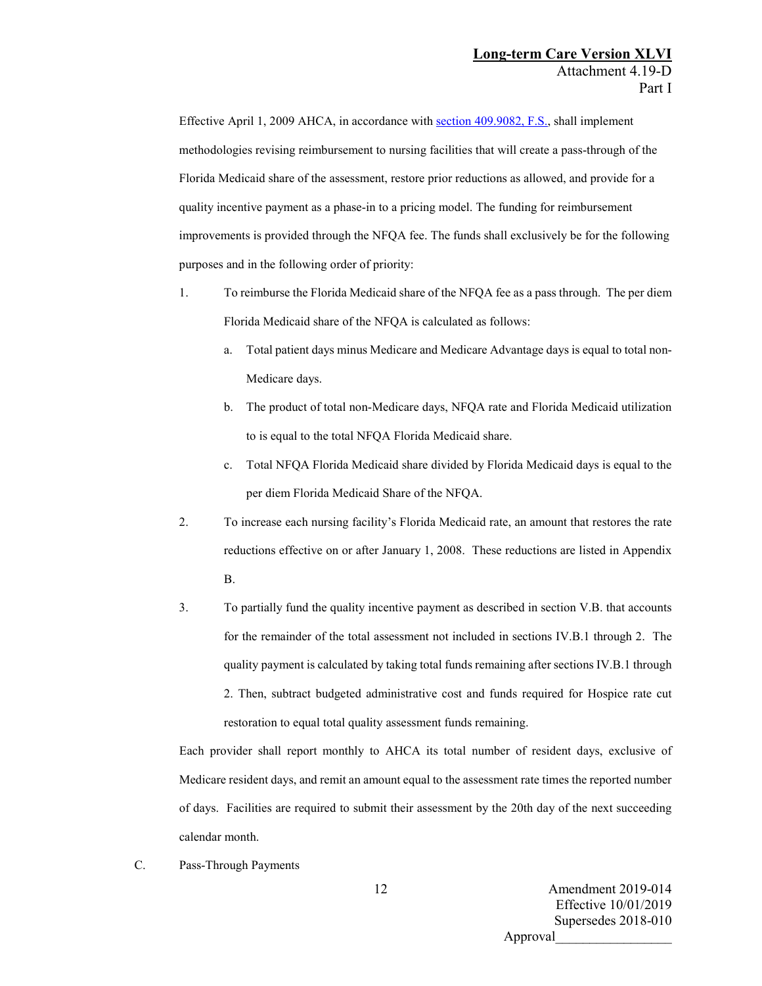Effective April 1, 2009 AHCA, in accordance wit[h section 409.9082, F.S.,](http://www.leg.state.fl.us/statutes/index.cfm?App_mode=Display_Statute&Search_String=&URL=0400-0499/0409/Sections/0409.908.html) shall implement methodologies revising reimbursement to nursing facilities that will create a pass-through of the Florida Medicaid share of the assessment, restore prior reductions as allowed, and provide for a quality incentive payment as a phase-in to a pricing model. The funding for reimbursement improvements is provided through the NFQA fee. The funds shall exclusively be for the following purposes and in the following order of priority:

- 1. To reimburse the Florida Medicaid share of the NFQA fee as a pass through. The per diem Florida Medicaid share of the NFQA is calculated as follows:
	- a. Total patient days minus Medicare and Medicare Advantage days is equal to total non-Medicare days.
	- b. The product of total non-Medicare days, NFQA rate and Florida Medicaid utilization to is equal to the total NFQA Florida Medicaid share.
	- c. Total NFQA Florida Medicaid share divided by Florida Medicaid days is equal to the per diem Florida Medicaid Share of the NFQA.
- 2. To increase each nursing facility's Florida Medicaid rate, an amount that restores the rate reductions effective on or after January 1, 2008. These reductions are listed in Appendix B.
- 3. To partially fund the quality incentive payment as described in section V.B. that accounts for the remainder of the total assessment not included in sections IV.B.1 through 2. The quality payment is calculated by taking total funds remaining after sections IV.B.1 through 2. Then, subtract budgeted administrative cost and funds required for Hospice rate cut restoration to equal total quality assessment funds remaining.

Each provider shall report monthly to AHCA its total number of resident days, exclusive of Medicare resident days, and remit an amount equal to the assessment rate times the reported number of days. Facilities are required to submit their assessment by the 20th day of the next succeeding calendar month.

C. Pass-Through Payments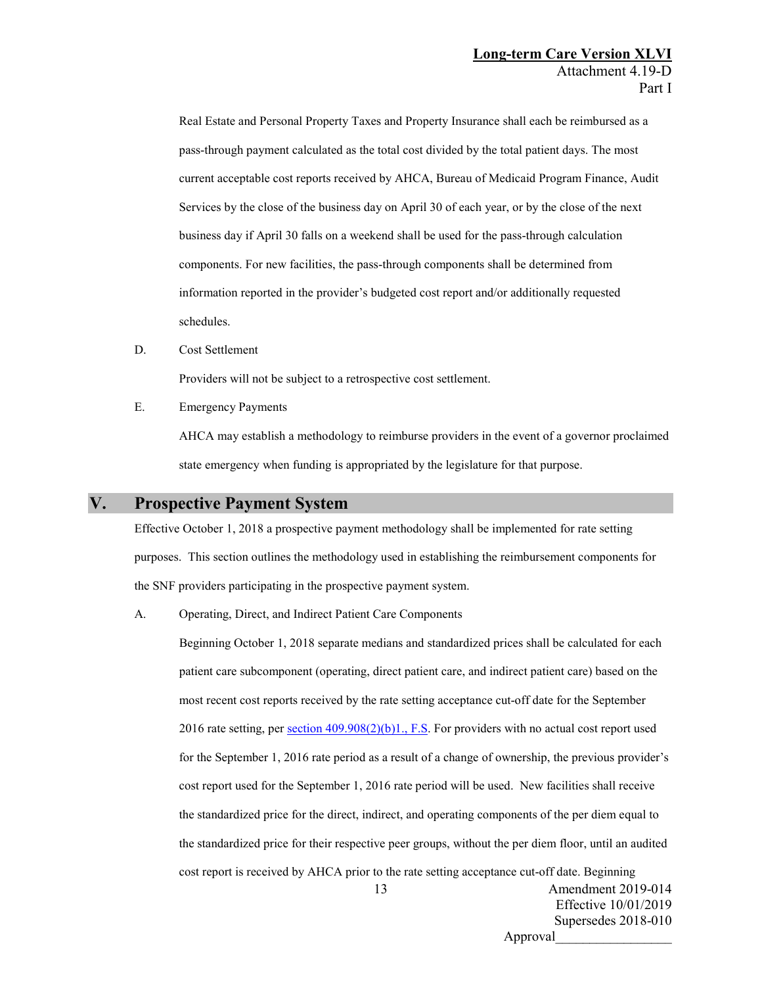Real Estate and Personal Property Taxes and Property Insurance shall each be reimbursed as a pass-through payment calculated as the total cost divided by the total patient days. The most current acceptable cost reports received by AHCA, Bureau of Medicaid Program Finance, Audit Services by the close of the business day on April 30 of each year, or by the close of the next business day if April 30 falls on a weekend shall be used for the pass-through calculation components. For new facilities, the pass-through components shall be determined from information reported in the provider's budgeted cost report and/or additionally requested schedules.

D. Cost Settlement

Providers will not be subject to a retrospective cost settlement.

E. Emergency Payments

AHCA may establish a methodology to reimburse providers in the event of a governor proclaimed state emergency when funding is appropriated by the legislature for that purpose.

## **V. Prospective Payment System**

Effective October 1, 2018 a prospective payment methodology shall be implemented for rate setting purposes. This section outlines the methodology used in establishing the reimbursement components for the SNF providers participating in the prospective payment system.

A. Operating, Direct, and Indirect Patient Care Components

Beginning October 1, 2018 separate medians and standardized prices shall be calculated for each patient care subcomponent (operating, direct patient care, and indirect patient care) based on the most recent cost reports received by the rate setting acceptance cut-off date for the September 2016 rate setting, per [section 409.908\(2\)\(b\)1., F.S.](http://www.leg.state.fl.us/statutes/index.cfm?App_mode=Display_Statute&Search_String=&URL=0400-0499/0409/Sections/0409.908.html) For providers with no actual cost report used for the September 1, 2016 rate period as a result of a change of ownership, the previous provider's cost report used for the September 1, 2016 rate period will be used. New facilities shall receive the standardized price for the direct, indirect, and operating components of the per diem equal to the standardized price for their respective peer groups, without the per diem floor, until an audited cost report is received by AHCA prior to the rate setting acceptance cut-off date. Beginning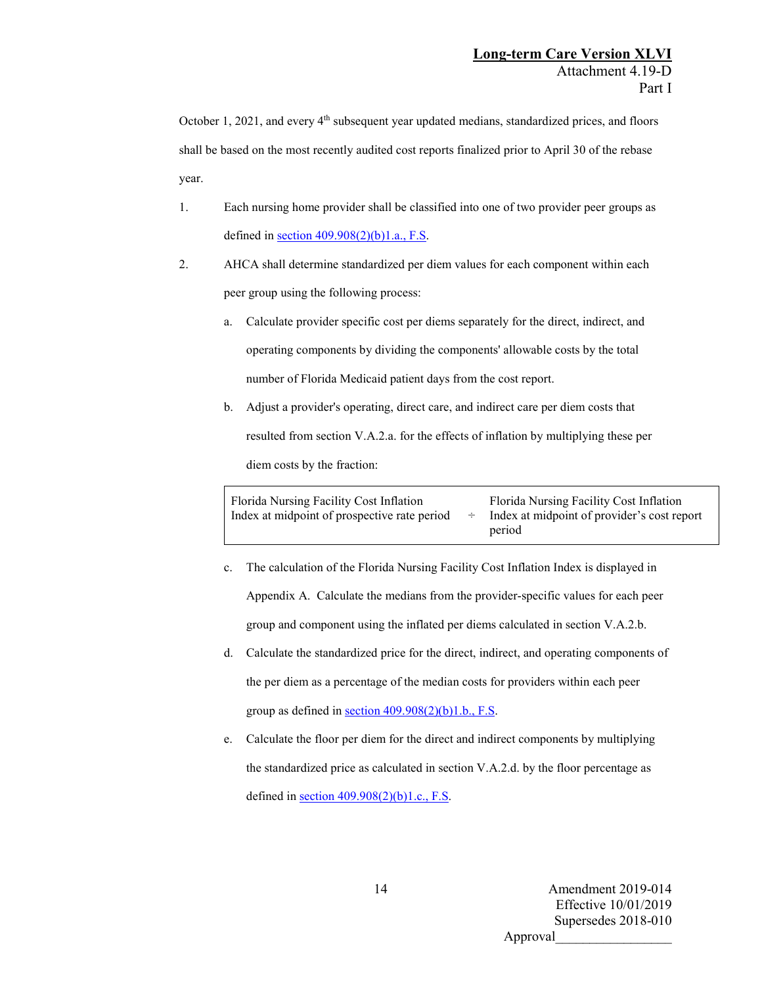October 1, 2021, and every  $4<sup>th</sup>$  subsequent year updated medians, standardized prices, and floors shall be based on the most recently audited cost reports finalized prior to April 30 of the rebase year.

- 1. Each nursing home provider shall be classified into one of two provider peer groups as defined in [section 409.908\(2\)\(b\)1.a., F.S.](http://www.leg.state.fl.us/statutes/index.cfm?App_mode=Display_Statute&Search_String=&URL=0400-0499/0409/Sections/0409.908.html)
- 2. AHCA shall determine standardized per diem values for each component within each peer group using the following process:
	- a. Calculate provider specific cost per diems separately for the direct, indirect, and operating components by dividing the components' allowable costs by the total number of Florida Medicaid patient days from the cost report.
	- b. Adjust a provider's operating, direct care, and indirect care per diem costs that resulted from section V.A.2.a. for the effects of inflation by multiplying these per diem costs by the fraction:

| Florida Nursing Facility Cost Inflation<br>Index at midpoint of prospective rate period $\div$ Index at midpoint of provider's cost report |
|--------------------------------------------------------------------------------------------------------------------------------------------|
| period                                                                                                                                     |
|                                                                                                                                            |

c. The calculation of the Florida Nursing Facility Cost Inflation Index is displayed in

Appendix A. Calculate the medians from the provider-specific values for each peer group and component using the inflated per diems calculated in section V.A.2.b.

- d. Calculate the standardized price for the direct, indirect, and operating components of the per diem as a percentage of the median costs for providers within each peer group as defined in section  $409.908(2)(b)1.b., F.S.$
- e. Calculate the floor per diem for the direct and indirect components by multiplying the standardized price as calculated in section V.A.2.d. by the floor percentage as defined in  $\frac{\text{section } 409.908(2)(b)1.c.}{h}$  F.S.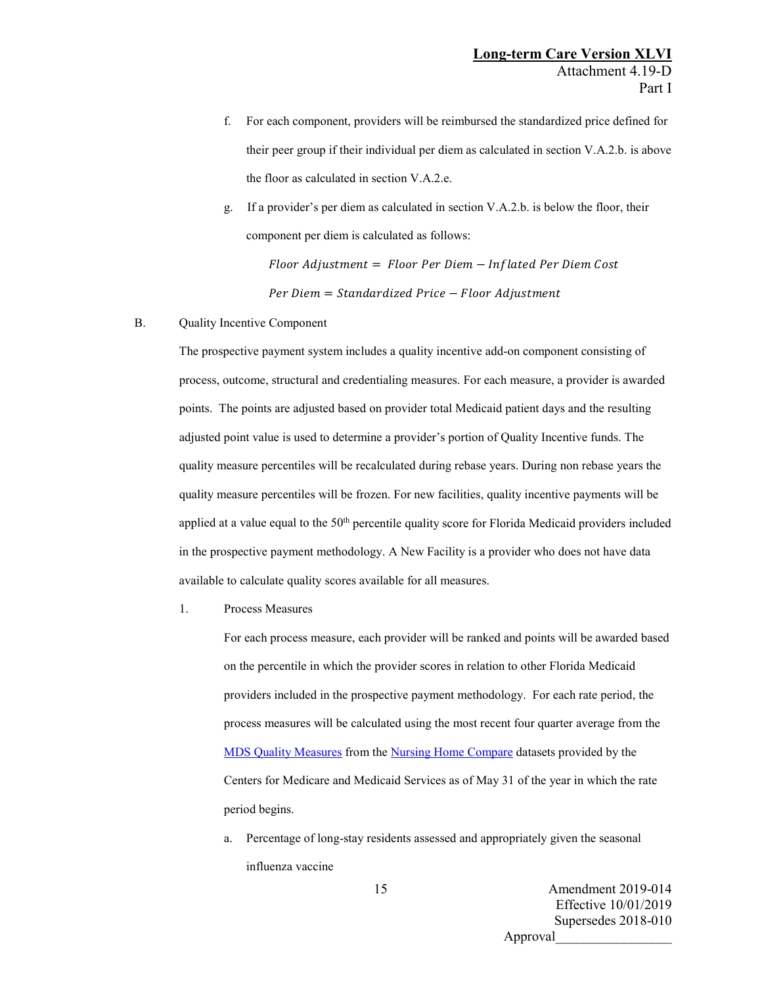- f. For each component, providers will be reimbursed the standardized price defined for their peer group if their individual per diem as calculated in section V.A.2.b. is above the floor as calculated in section V.A.2.e.
- g. If a provider's per diem as calculated in section V.A.2.b. is below the floor, their component per diem is calculated as follows:

 $Floor$  Adjustment =  $Floor$  Per Diem – Inflated Per Diem Cost  $Per$  Diem = Standardized Price  $-$  Floor Adjustment

B. Quality Incentive Component

The prospective payment system includes a quality incentive add-on component consisting of process, outcome, structural and credentialing measures. For each measure, a provider is awarded points. The points are adjusted based on provider total Medicaid patient days and the resulting adjusted point value is used to determine a provider's portion of Quality Incentive funds. The quality measure percentiles will be recalculated during rebase years. During non rebase years the quality measure percentiles will be frozen. For new facilities, quality incentive payments will be applied at a value equal to the  $50<sup>th</sup>$  percentile quality score for Florida Medicaid providers included in the prospective payment methodology. A New Facility is a provider who does not have data available to calculate quality scores available for all measures.

1. Process Measures

For each process measure, each provider will be ranked and points will be awarded based on the percentile in which the provider scores in relation to other Florida Medicaid providers included in the prospective payment methodology. For each rate period, the process measures will be calculated using the most recent four quarter average from the [MDS Quality Measures](https://data.medicare.gov/data/nursing-home-compare) from the [Nursing Home Compare](https://data.medicare.gov/data/nursing-home-compare) datasets provided by the Centers for Medicare and Medicaid Services as of May 31 of the year in which the rate period begins.

a. Percentage of long-stay residents assessed and appropriately given the seasonal influenza vaccine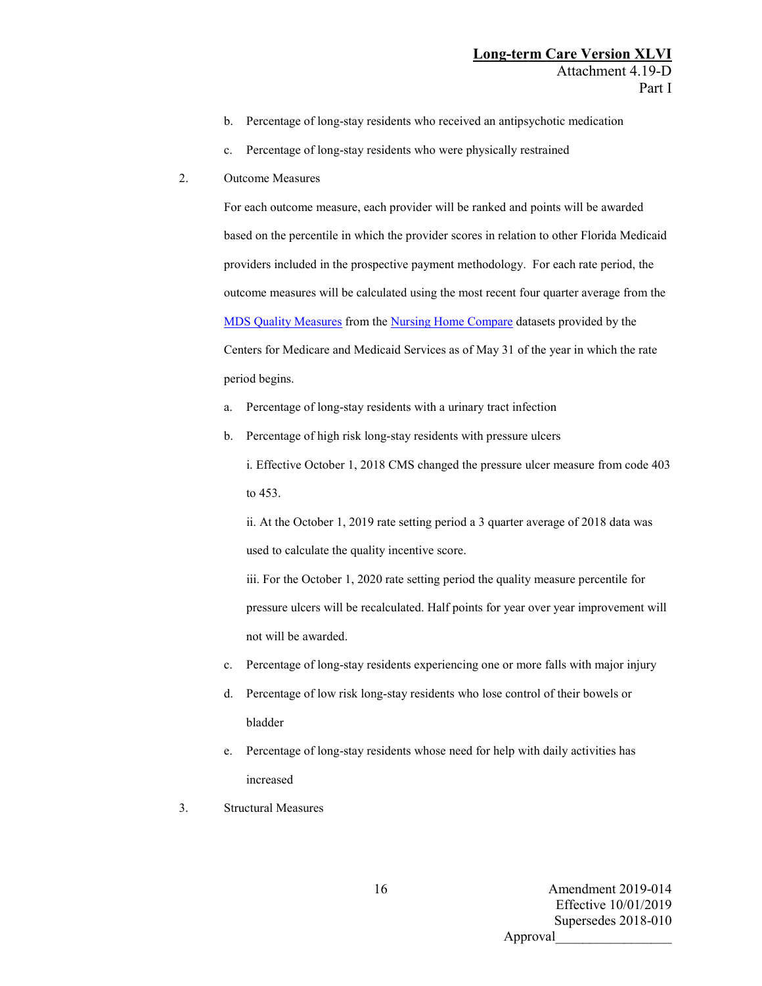- b. Percentage of long-stay residents who received an antipsychotic medication
- c. Percentage of long-stay residents who were physically restrained
- 2. Outcome Measures

For each outcome measure, each provider will be ranked and points will be awarded based on the percentile in which the provider scores in relation to other Florida Medicaid providers included in the prospective payment methodology. For each rate period, the outcome measures will be calculated using the most recent four quarter average from the [MDS Quality Measures](https://data.medicare.gov/data/nursing-home-compare) from the [Nursing Home Compare](https://data.medicare.gov/data/nursing-home-compare) datasets provided by the Centers for Medicare and Medicaid Services as of May 31 of the year in which the rate period begins.

- a. Percentage of long-stay residents with a urinary tract infection
- b. Percentage of high risk long-stay residents with pressure ulcers

i. Effective October 1, 2018 CMS changed the pressure ulcer measure from code 403 to 453.

ii. At the October 1, 2019 rate setting period a 3 quarter average of 2018 data was used to calculate the quality incentive score.

iii. For the October 1, 2020 rate setting period the quality measure percentile for pressure ulcers will be recalculated. Half points for year over year improvement will not will be awarded.

- c. Percentage of long-stay residents experiencing one or more falls with major injury
- d. Percentage of low risk long-stay residents who lose control of their bowels or bladder
- e. Percentage of long-stay residents whose need for help with daily activities has increased
- 3. Structural Measures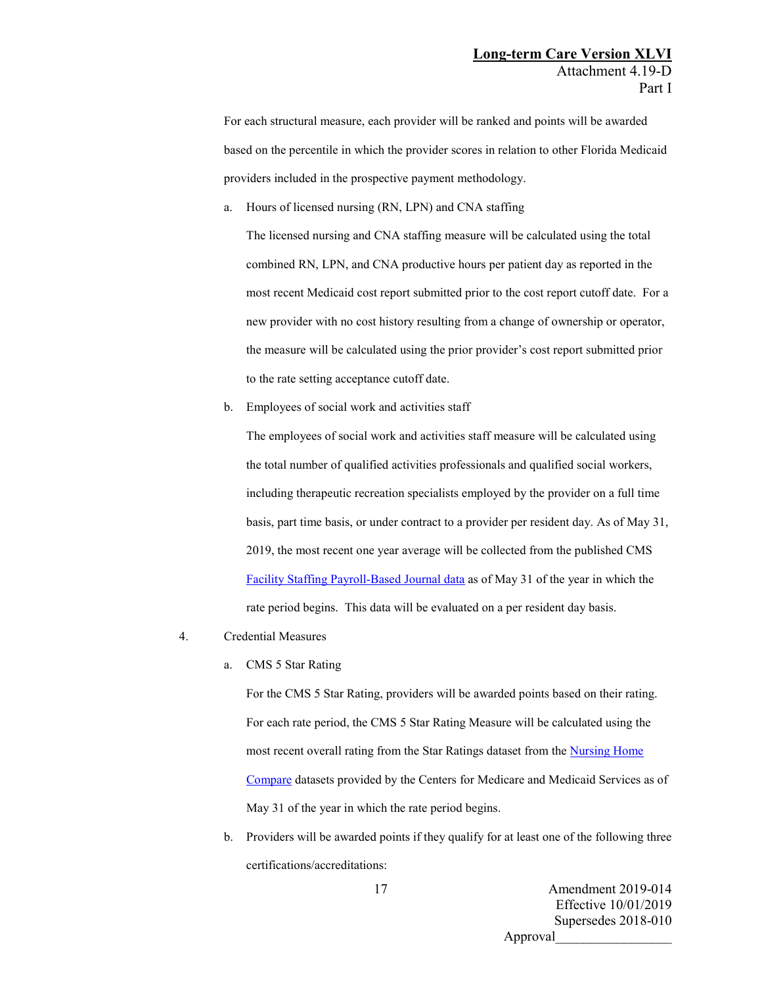For each structural measure, each provider will be ranked and points will be awarded based on the percentile in which the provider scores in relation to other Florida Medicaid providers included in the prospective payment methodology.

a. Hours of licensed nursing (RN, LPN) and CNA staffing

The licensed nursing and CNA staffing measure will be calculated using the total combined RN, LPN, and CNA productive hours per patient day as reported in the most recent Medicaid cost report submitted prior to the cost report cutoff date. For a new provider with no cost history resulting from a change of ownership or operator, the measure will be calculated using the prior provider's cost report submitted prior to the rate setting acceptance cutoff date.

b. Employees of social work and activities staff

The employees of social work and activities staff measure will be calculated using the total number of qualified activities professionals and qualified social workers, including therapeutic recreation specialists employed by the provider on a full time basis, part time basis, or under contract to a provider per resident day. As of May 31, 2019, the most recent one year average will be collected from the published CMS [Facility Staffing Payroll-Based Journal data](https://data.cms.gov/browse?category=Special+Programs%2FInitiatives+-+Long+Term+Care+Facility+Staffing+Payroll-Based+Journal) as of May 31 of the year in which the rate period begins. This data will be evaluated on a per resident day basis.

- 4. Credential Measures
	- a. CMS 5 Star Rating

For the CMS 5 Star Rating, providers will be awarded points based on their rating. For each rate period, the CMS 5 Star Rating Measure will be calculated using the most recent overall rating from the Star Ratings dataset from the Nursing Home [Compare](https://data.medicare.gov/data/nursing-home-compare) datasets provided by the Centers for Medicare and Medicaid Services as of May 31 of the year in which the rate period begins.

b. Providers will be awarded points if they qualify for at least one of the following three certifications/accreditations: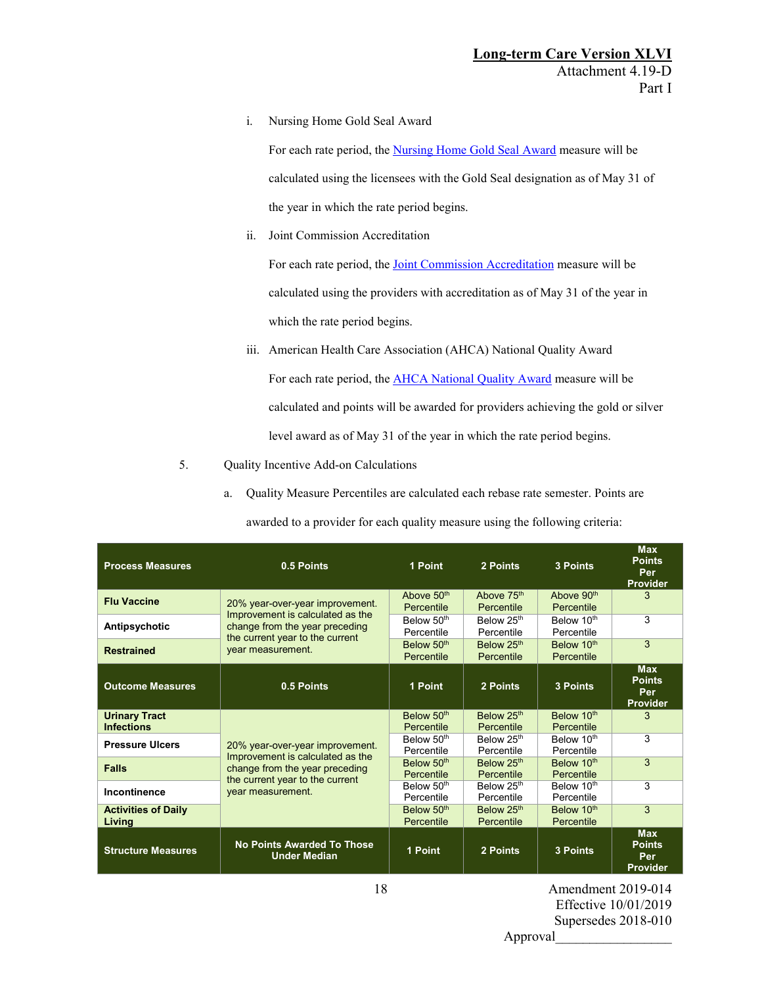i. Nursing Home Gold Seal Award

For each rate period, the [Nursing Home Gold Seal Award](http://ahca.myflorida.com/MCHQ/Health_Facility_Regulation/Long_Term_Care/GovernorPanel/GPELTC.shtml) measure will be calculated using the licensees with the Gold Seal designation as of May 31 of the year in which the rate period begins.

ii. Joint Commission Accreditation

For each rate period, the [Joint Commission Accreditation](https://www.qualitycheck.org/) measure will be calculated using the providers with accreditation as of May 31 of the year in which the rate period begins.

- iii. American Health Care Association (AHCA) National Quality Award For each rate period, the [AHCA National Quality Award](https://www.ahcancal.org/quality_improvement/quality_award/Pages/default.aspx) measure will be calculated and points will be awarded for providers achieving the gold or silver level award as of May 31 of the year in which the rate period begins.
- 5. Quality Incentive Add-on Calculations
	- a. Quality Measure Percentiles are calculated each rebase rate semester. Points are

awarded to a provider for each quality measure using the following criteria:

| <b>Process Measures</b>                   | 0.5 Points                                                                                            | 1 Point                              | 2 Points                             | 3 Points                             | <b>Max</b><br><b>Points</b><br>Per<br><b>Provider</b>  |
|-------------------------------------------|-------------------------------------------------------------------------------------------------------|--------------------------------------|--------------------------------------|--------------------------------------|--------------------------------------------------------|
| <b>Flu Vaccine</b>                        | 20% year-over-year improvement.                                                                       | Above 50 <sup>th</sup><br>Percentile | Above 75 <sup>th</sup><br>Percentile | Above 90 <sup>th</sup><br>Percentile | 3                                                      |
| Antipsychotic                             | Improvement is calculated as the<br>change from the year preceding<br>the current year to the current | Below 50 <sup>th</sup><br>Percentile | Below 25 <sup>th</sup><br>Percentile | Below 10 <sup>th</sup><br>Percentile | 3                                                      |
| <b>Restrained</b>                         | year measurement.                                                                                     | Below 50 <sup>th</sup><br>Percentile | Below 25 <sup>th</sup><br>Percentile | Below 10 <sup>th</sup><br>Percentile | 3                                                      |
| <b>Outcome Measures</b>                   | 0.5 Points                                                                                            | 1 Point                              | 2 Points                             | 3 Points                             | <b>Max</b><br><b>Points</b><br>Per<br><b>Provider</b>  |
| <b>Urinary Tract</b><br><b>Infections</b> |                                                                                                       | Below 50 <sup>th</sup><br>Percentile | Below 25 <sup>th</sup><br>Percentile | Below 10 <sup>th</sup><br>Percentile | 3                                                      |
| <b>Pressure Ulcers</b>                    | 20% year-over-year improvement.                                                                       | Below 50 <sup>th</sup><br>Percentile | Below 25 <sup>th</sup><br>Percentile | Below 10 <sup>th</sup><br>Percentile | 3                                                      |
| <b>Falls</b>                              | Improvement is calculated as the<br>change from the year preceding<br>the current year to the current | Below 50 <sup>th</sup><br>Percentile | Below 25 <sup>th</sup><br>Percentile | Below 10th<br>Percentile             | 3                                                      |
| Incontinence                              | year measurement.                                                                                     | Below 50 <sup>th</sup><br>Percentile | Below 25 <sup>th</sup><br>Percentile | Below 10 <sup>th</sup><br>Percentile | 3                                                      |
| <b>Activities of Daily</b><br>Living      |                                                                                                       | Below 50 <sup>th</sup><br>Percentile | Below 25 <sup>th</sup><br>Percentile | Below 10 <sup>th</sup><br>Percentile | 3                                                      |
| <b>Structure Measures</b>                 | <b>No Points Awarded To Those</b><br><b>Under Median</b>                                              | 1 Point                              | 2 Points                             | <b>3 Points</b>                      | <b>Max</b><br><b>Points</b><br>Per.<br><b>Provider</b> |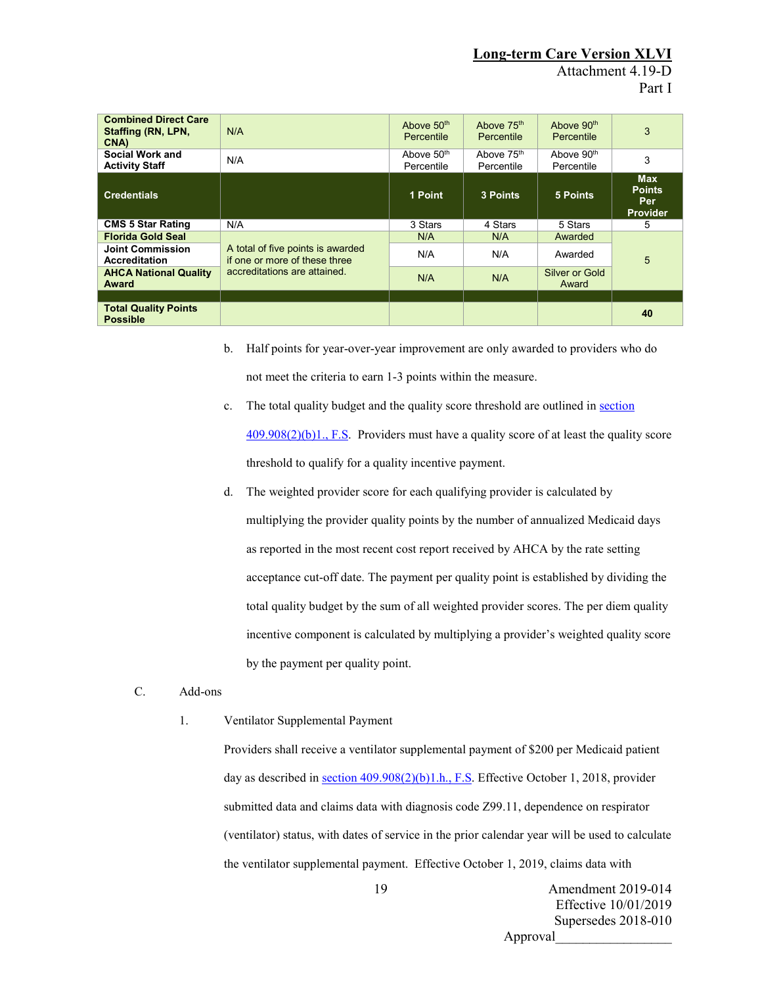# **Long-term Care Version XLVI**

Attachment 4.19-D

Part I

| <b>Combined Direct Care</b><br>Staffing (RN, LPN,<br>CNA) | N/A                                                                | Above 50 <sup>th</sup><br>Percentile | Above 75 <sup>th</sup><br>Percentile | Above 90 <sup>th</sup><br>Percentile | 3                                                            |
|-----------------------------------------------------------|--------------------------------------------------------------------|--------------------------------------|--------------------------------------|--------------------------------------|--------------------------------------------------------------|
| Social Work and<br><b>Activity Staff</b>                  | N/A                                                                | Above 50 <sup>th</sup><br>Percentile | Above 75 <sup>th</sup><br>Percentile | Above 90 <sup>th</sup><br>Percentile | 3                                                            |
| <b>Credentials</b>                                        |                                                                    | 1 Point                              | <b>3 Points</b>                      | <b>5 Points</b>                      | <b>Max</b><br><b>Points</b><br><b>Per</b><br><b>Provider</b> |
| <b>CMS 5 Star Rating</b>                                  | N/A                                                                | 3 Stars                              | 4 Stars                              | 5 Stars                              | 5                                                            |
| <b>Florida Gold Seal</b>                                  |                                                                    | N/A                                  | N/A                                  | Awarded                              |                                                              |
| Joint Commission<br><b>Accreditation</b>                  | A total of five points is awarded<br>if one or more of these three | N/A                                  | N/A                                  | Awarded                              | 5                                                            |
| <b>AHCA National Quality</b><br>Award                     | accreditations are attained.                                       | N/A                                  | N/A                                  | Silver or Gold<br>Award              |                                                              |
|                                                           |                                                                    |                                      |                                      |                                      |                                                              |
| <b>Total Quality Points</b><br><b>Possible</b>            |                                                                    |                                      |                                      |                                      | 40                                                           |

- b. Half points for year-over-year improvement are only awarded to providers who do not meet the criteria to earn 1-3 points within the measure.
- c. The total quality budget and the quality score threshold are outlined in [section](http://www.leg.state.fl.us/statutes/index.cfm?App_mode=Display_Statute&Search_String=&URL=0400-0499/0409/Sections/0409.908.html)   $409.908(2)(b)1$ ., F.S. Providers must have a quality score of at least the quality score threshold to qualify for a quality incentive payment.
- d. The weighted provider score for each qualifying provider is calculated by multiplying the provider quality points by the number of annualized Medicaid days as reported in the most recent cost report received by AHCA by the rate setting acceptance cut-off date. The payment per quality point is established by dividing the total quality budget by the sum of all weighted provider scores. The per diem quality incentive component is calculated by multiplying a provider's weighted quality score by the payment per quality point.
- C. Add-ons
	- 1. Ventilator Supplemental Payment

Providers shall receive a ventilator supplemental payment of \$200 per Medicaid patient day as described in [section 409.908\(2\)\(b\)1.h., F.S.](http://www.leg.state.fl.us/statutes/index.cfm?App_mode=Display_Statute&Search_String=&URL=0400-0499/0409/Sections/0409.908.html) Effective October 1, 2018, provider submitted data and claims data with diagnosis code Z99.11, dependence on respirator (ventilator) status, with dates of service in the prior calendar year will be used to calculate the ventilator supplemental payment. Effective October 1, 2019, claims data with

19 Amendment 2019-014 Effective 10/01/2019 Supersedes 2018-010 Approval\_\_\_\_\_\_\_\_\_\_\_\_\_\_\_\_\_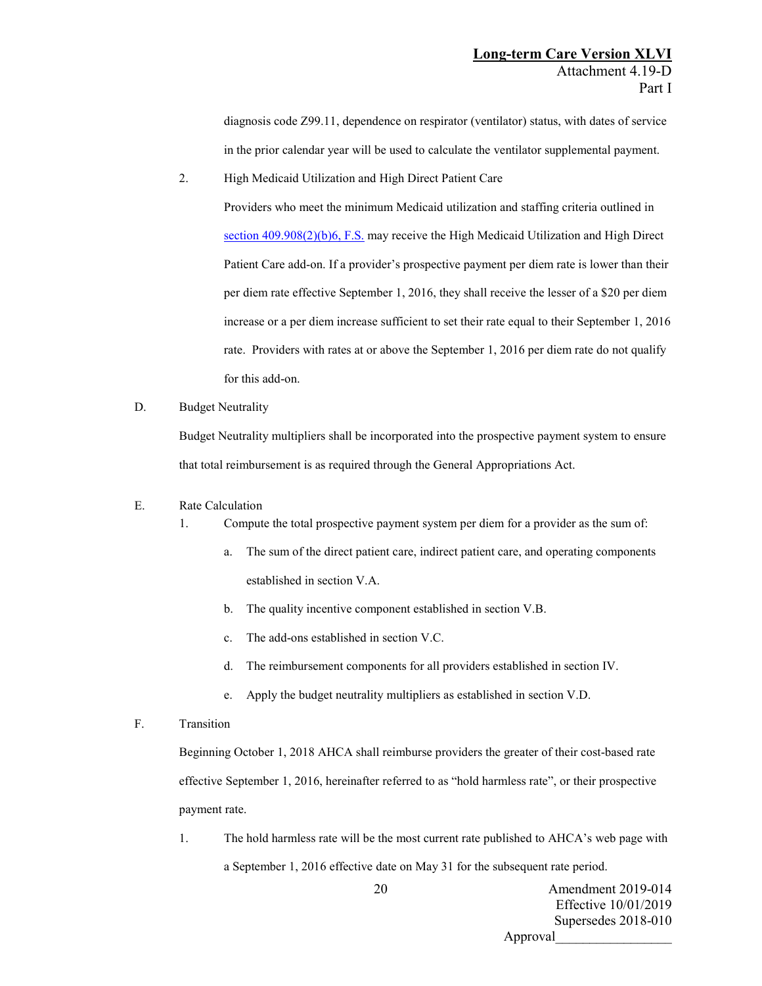diagnosis code Z99.11, dependence on respirator (ventilator) status, with dates of service in the prior calendar year will be used to calculate the ventilator supplemental payment.

2. High Medicaid Utilization and High Direct Patient Care

Providers who meet the minimum Medicaid utilization and staffing criteria outlined in [section 409.908\(2\)\(b\)6, F.S.](http://www.leg.state.fl.us/statutes/index.cfm?App_mode=Display_Statute&Search_String=&URL=0400-0499/0409/Sections/0409.908.html) may receive the High Medicaid Utilization and High Direct Patient Care add-on. If a provider's prospective payment per diem rate is lower than their per diem rate effective September 1, 2016, they shall receive the lesser of a \$20 per diem increase or a per diem increase sufficient to set their rate equal to their September 1, 2016 rate. Providers with rates at or above the September 1, 2016 per diem rate do not qualify for this add-on.

D. Budget Neutrality

Budget Neutrality multipliers shall be incorporated into the prospective payment system to ensure that total reimbursement is as required through the General Appropriations Act.

### E. Rate Calculation

1. Compute the total prospective payment system per diem for a provider as the sum of:

- a. The sum of the direct patient care, indirect patient care, and operating components established in section V.A.
- b. The quality incentive component established in section V.B.
- c. The add-ons established in section V.C.
- d. The reimbursement components for all providers established in section IV.
- e. Apply the budget neutrality multipliers as established in section V.D.
- F. Transition

Beginning October 1, 2018 AHCA shall reimburse providers the greater of their cost-based rate effective September 1, 2016, hereinafter referred to as "hold harmless rate", or their prospective payment rate.

1. The hold harmless rate will be the most current rate published to AHCA's web page with a September 1, 2016 effective date on May 31 for the subsequent rate period.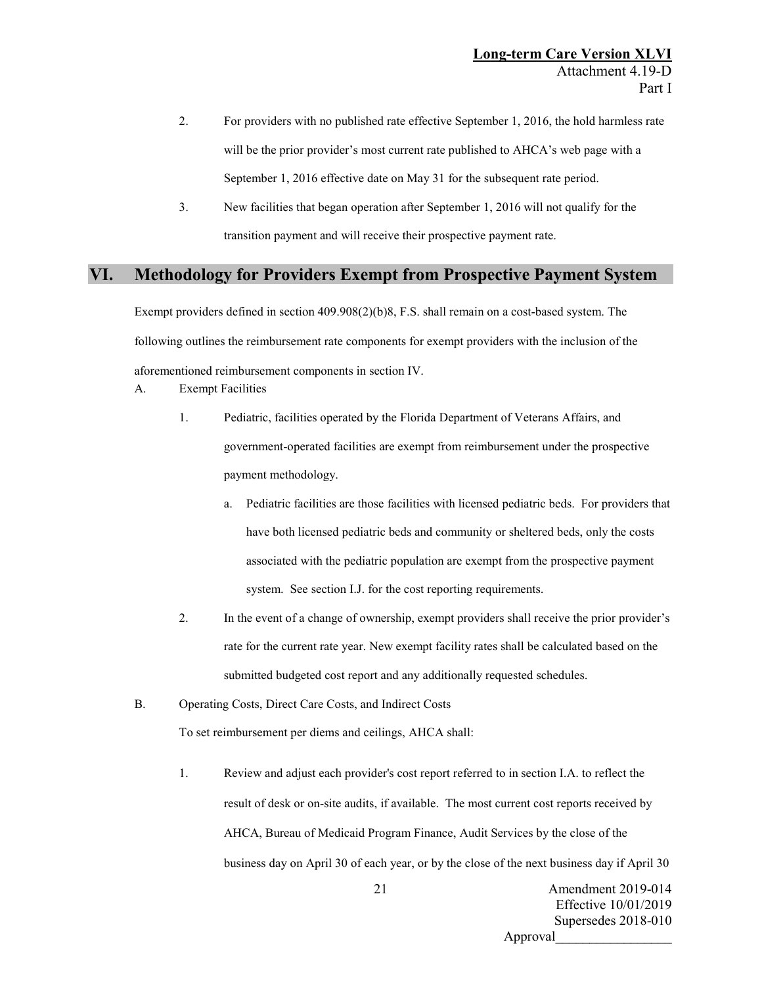- 2. For providers with no published rate effective September 1, 2016, the hold harmless rate will be the prior provider's most current rate published to AHCA's web page with a September 1, 2016 effective date on May 31 for the subsequent rate period.
- 3. New facilities that began operation after September 1, 2016 will not qualify for the transition payment and will receive their prospective payment rate.

## **VI. Methodology for Providers Exempt from Prospective Payment System**

Exempt providers defined i[n section 409.908\(2\)\(b\)8, F.S.](http://www.leg.state.fl.us/statutes/index.cfm?App_mode=Display_Statute&Search_String=&URL=0400-0499/0409/Sections/0409.908.html) shall remain on a cost-based system. The following outlines the reimbursement rate components for exempt providers with the inclusion of the aforementioned reimbursement components in section IV.

- A. Exempt Facilities
	- 1. Pediatric, facilities operated by the Florida Department of Veterans Affairs, and government-operated facilities are exempt from reimbursement under the prospective payment methodology.
		- a. Pediatric facilities are those facilities with licensed pediatric beds. For providers that have both licensed pediatric beds and community or sheltered beds, only the costs associated with the pediatric population are exempt from the prospective payment system. See section I.J. for the cost reporting requirements.
	- 2. In the event of a change of ownership, exempt providers shall receive the prior provider's rate for the current rate year. New exempt facility rates shall be calculated based on the submitted budgeted cost report and any additionally requested schedules.
- B. Operating Costs, Direct Care Costs, and Indirect Costs To set reimbursement per diems and ceilings, AHCA shall:
	- 1. Review and adjust each provider's cost report referred to in section I.A. to reflect the result of desk or on-site audits, if available. The most current cost reports received by AHCA, Bureau of Medicaid Program Finance, Audit Services by the close of the business day on April 30 of each year, or by the close of the next business day if April 30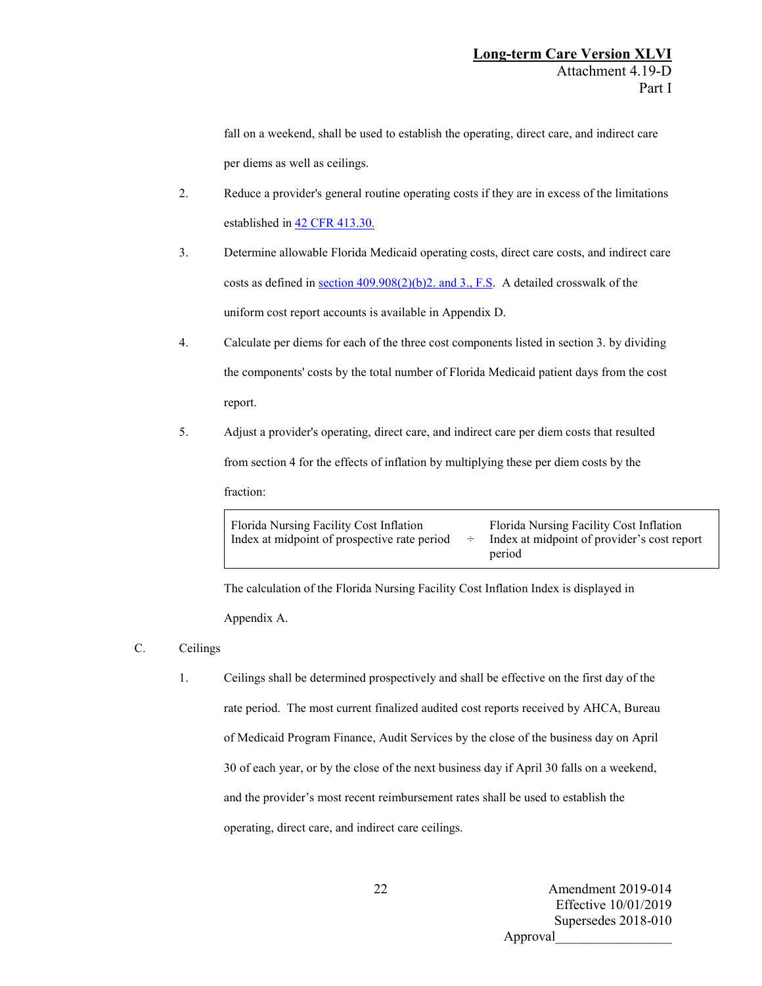fall on a weekend, shall be used to establish the operating, direct care, and indirect care per diems as well as ceilings.

- 2. Reduce a provider's general routine operating costs if they are in excess of the limitations established in [42 CFR 413.30.](https://www.govinfo.gov/content/pkg/CFR-2018-title42-vol2/pdf/CFR-2018-title42-vol2-sec413-30.pdfhttps:/www.govinfo.gov/content/pkg/CFR-2018-title42-vol2/pdf/CFR-2018-title42-vol2-sec413-30.pdf)
- 3. Determine allowable Florida Medicaid operating costs, direct care costs, and indirect care costs as defined in [section 409.908\(2\)\(b\)2.](http://www.leg.state.fl.us/statutes/index.cfm?App_mode=Display_Statute&Search_String=&URL=0400-0499/0409/Sections/0409.908.html) and 3., F.S. A detailed crosswalk of the uniform cost report accounts is available in Appendix D.
- 4. Calculate per diems for each of the three cost components listed in section 3. by dividing the components' costs by the total number of Florida Medicaid patient days from the cost report.
- 5. Adjust a provider's operating, direct care, and indirect care per diem costs that resulted from section 4 for the effects of inflation by multiplying these per diem costs by the fraction:

| Florida Nursing Facility Cost Inflation                                                         | Florida Nursing Facility Cost Inflation |
|-------------------------------------------------------------------------------------------------|-----------------------------------------|
| Index at midpoint of prospective rate period $\div$ Index at midpoint of provider's cost report |                                         |
|                                                                                                 | period                                  |

The calculation of the Florida Nursing Facility Cost Inflation Index is displayed in Appendix A.

## C. Ceilings

1. Ceilings shall be determined prospectively and shall be effective on the first day of the rate period. The most current finalized audited cost reports received by AHCA, Bureau of Medicaid Program Finance, Audit Services by the close of the business day on April 30 of each year, or by the close of the next business day if April 30 falls on a weekend, and the provider's most recent reimbursement rates shall be used to establish the operating, direct care, and indirect care ceilings.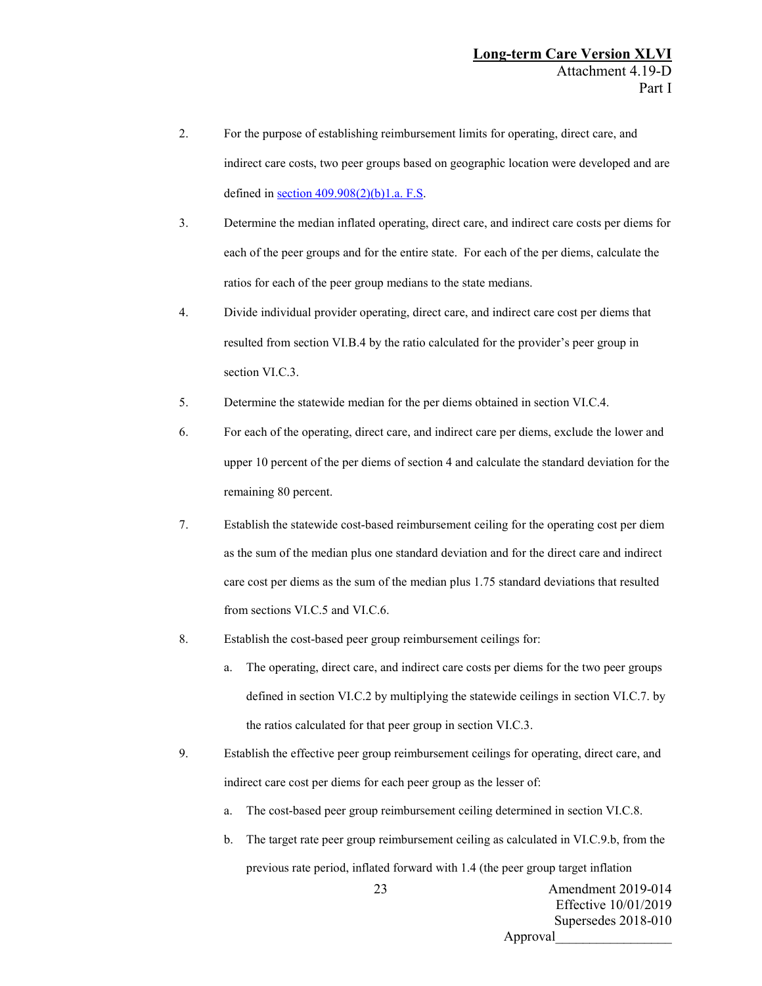- 2. For the purpose of establishing reimbursement limits for operating, direct care, and indirect care costs, two peer groups based on geographic location were developed and are defined in [section 409.908\(2\)\(b\)1.a.](http://www.leg.state.fl.us/statutes/index.cfm?App_mode=Display_Statute&URL=0400-0499/0409/Sections/0409.908.html) F.S.
- 3. Determine the median inflated operating, direct care, and indirect care costs per diems for each of the peer groups and for the entire state. For each of the per diems, calculate the ratios for each of the peer group medians to the state medians.
- 4. Divide individual provider operating, direct care, and indirect care cost per diems that resulted from section VI.B.4 by the ratio calculated for the provider's peer group in section VI.C.3.
- 5. Determine the statewide median for the per diems obtained in section VI.C.4.
- 6. For each of the operating, direct care, and indirect care per diems, exclude the lower and upper 10 percent of the per diems of section 4 and calculate the standard deviation for the remaining 80 percent.
- 7. Establish the statewide cost-based reimbursement ceiling for the operating cost per diem as the sum of the median plus one standard deviation and for the direct care and indirect care cost per diems as the sum of the median plus 1.75 standard deviations that resulted from sections VI.C.5 and VI.C.6.
- 8. Establish the cost-based peer group reimbursement ceilings for:
	- a. The operating, direct care, and indirect care costs per diems for the two peer groups defined in section VI.C.2 by multiplying the statewide ceilings in section VI.C.7. by the ratios calculated for that peer group in section VI.C.3.
- 9. Establish the effective peer group reimbursement ceilings for operating, direct care, and indirect care cost per diems for each peer group as the lesser of:
	- a. The cost-based peer group reimbursement ceiling determined in section VI.C.8.
	- b. The target rate peer group reimbursement ceiling as calculated in VI.C.9.b, from the previous rate period, inflated forward with 1.4 (the peer group target inflation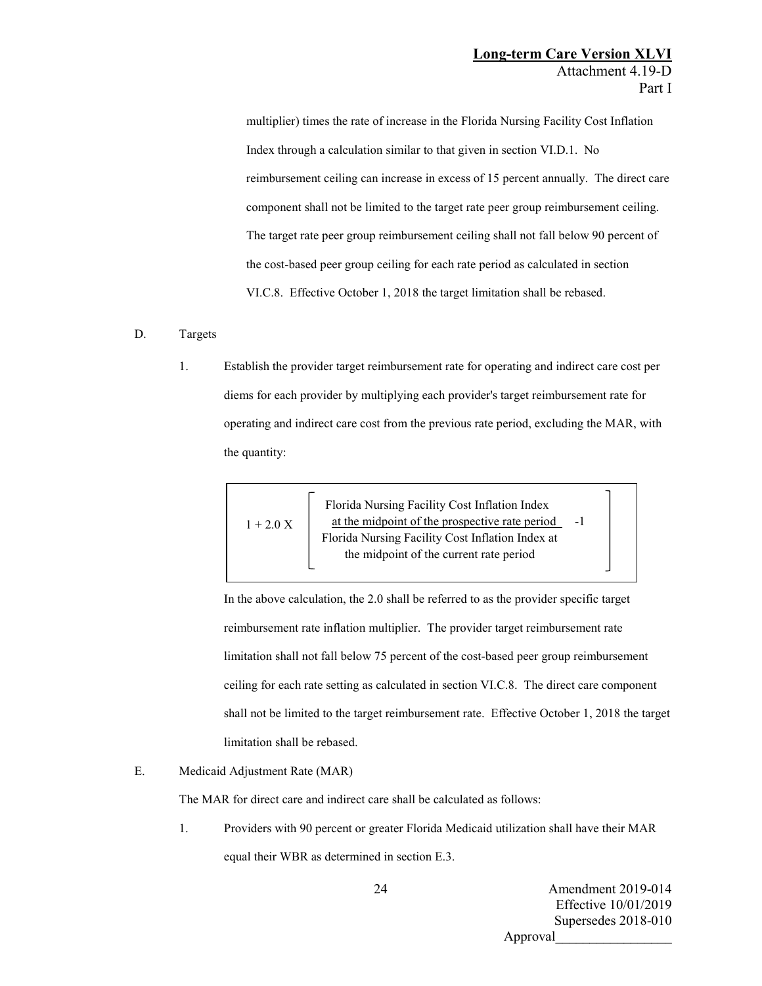multiplier) times the rate of increase in the Florida Nursing Facility Cost Inflation Index through a calculation similar to that given in section VI.D.1. No reimbursement ceiling can increase in excess of 15 percent annually. The direct care component shall not be limited to the target rate peer group reimbursement ceiling. The target rate peer group reimbursement ceiling shall not fall below 90 percent of the cost-based peer group ceiling for each rate period as calculated in section VI.C.8. Effective October 1, 2018 the target limitation shall be rebased.

### D. Targets

1. Establish the provider target reimbursement rate for operating and indirect care cost per diems for each provider by multiplying each provider's target reimbursement rate for operating and indirect care cost from the previous rate period, excluding the MAR, with the quantity:

Florida Nursing Facility Cost Inflation Index at the midpoint of the prospective rate period -1 Florida Nursing Facility Cost Inflation Index at the midpoint of the current rate period 1 + 2.0 X

In the above calculation, the 2.0 shall be referred to as the provider specific target reimbursement rate inflation multiplier. The provider target reimbursement rate limitation shall not fall below 75 percent of the cost-based peer group reimbursement ceiling for each rate setting as calculated in section VI.C.8. The direct care component shall not be limited to the target reimbursement rate. Effective October 1, 2018 the target limitation shall be rebased.

### E. Medicaid Adjustment Rate (MAR)

The MAR for direct care and indirect care shall be calculated as follows:

1. Providers with 90 percent or greater Florida Medicaid utilization shall have their MAR equal their WBR as determined in section E.3.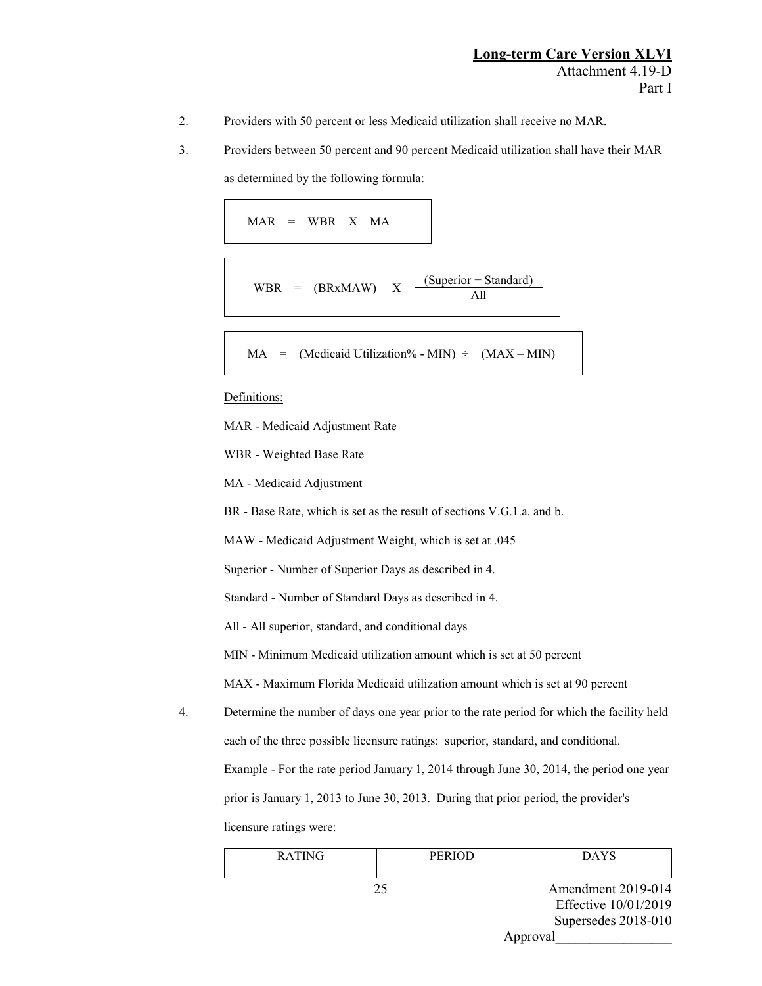- 2. Providers with 50 percent or less Medicaid utilization shall receive no MAR.
- 3. Providers between 50 percent and 90 percent Medicaid utilization shall have their MAR as determined by the following formula:

 $MAR = WBR X MA$ 

$$
WBR = (BRxMAW) \quad X \quad \frac{(Superior + Standard)}{All}
$$

 $MA = (Medical Utilization% - MIN) \div (MAX - MIN)$ 

Definitions:

MAR - Medicaid Adjustment Rate

WBR - Weighted Base Rate

MA - Medicaid Adjustment

BR - Base Rate, which is set as the result of sections V.G.1.a. and b.

MAW - Medicaid Adjustment Weight, which is set at .045

Superior - Number of Superior Days as described in 4.

Standard - Number of Standard Days as described in 4.

All - All superior, standard, and conditional days

MIN - Minimum Medicaid utilization amount which is set at 50 percent

MAX - Maximum Florida Medicaid utilization amount which is set at 90 percent

4. Determine the number of days one year prior to the rate period for which the facility held each of the three possible licensure ratings: superior, standard, and conditional. Example - For the rate period January 1, 2014 through June 30, 2014, the period one year prior is January 1, 2013 to June 30, 2013. During that prior period, the provider's licensure ratings were:

| RATING. | <b>PERIOD</b> | <b>DAYS</b>                                 |
|---------|---------------|---------------------------------------------|
|         | 25            | Amendment 2019-014                          |
|         |               | Effective 10/01/2019<br>Supersedes 2018-010 |

Approval\_\_\_\_\_\_\_\_\_\_\_\_\_\_\_\_\_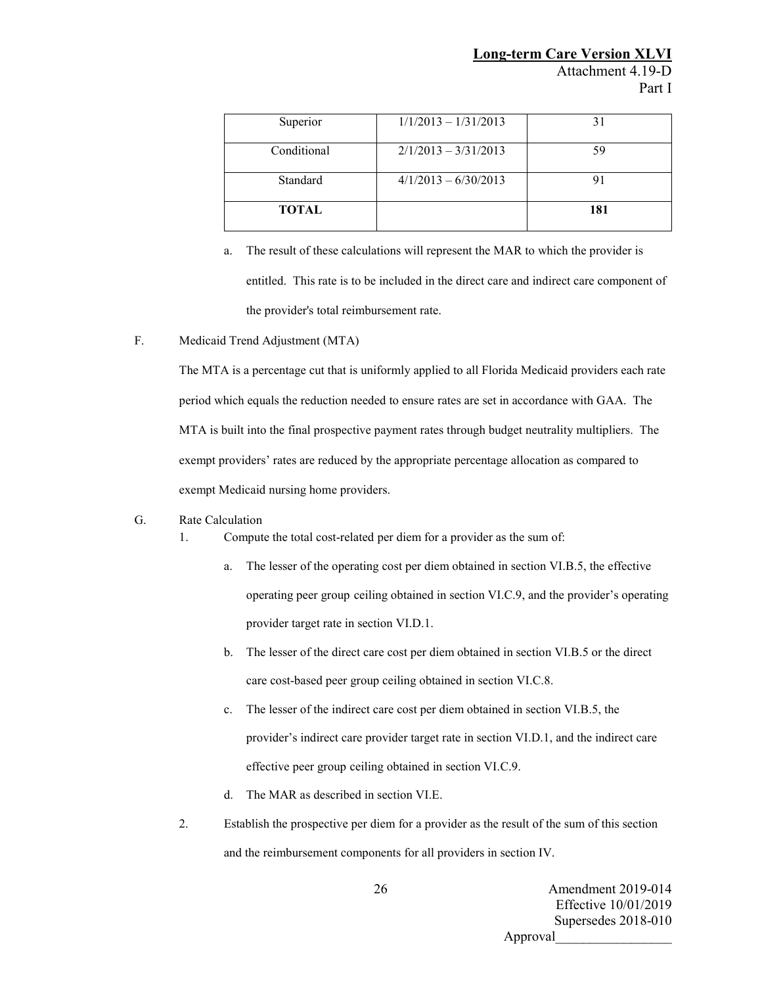| Superior     | $1/1/2013 - 1/31/2013$ | 31  |
|--------------|------------------------|-----|
| Conditional  | $2/1/2013 - 3/31/2013$ | 59  |
| Standard     | $4/1/2013 - 6/30/2013$ | 91  |
| <b>TOTAL</b> |                        | 181 |

a. The result of these calculations will represent the MAR to which the provider is entitled. This rate is to be included in the direct care and indirect care component of the provider's total reimbursement rate.

F. Medicaid Trend Adjustment (MTA)

The MTA is a percentage cut that is uniformly applied to all Florida Medicaid providers each rate period which equals the reduction needed to ensure rates are set in accordance with GAA. The MTA is built into the final prospective payment rates through budget neutrality multipliers. The exempt providers' rates are reduced by the appropriate percentage allocation as compared to exempt Medicaid nursing home providers.

- G. Rate Calculation
	- 1. Compute the total cost-related per diem for a provider as the sum of:
		- a. The lesser of the operating cost per diem obtained in section VI.B.5, the effective operating peer group ceiling obtained in section VI.C.9, and the provider's operating provider target rate in section VI.D.1.
		- b. The lesser of the direct care cost per diem obtained in section VI.B.5 or the direct care cost-based peer group ceiling obtained in section VI.C.8.
		- c. The lesser of the indirect care cost per diem obtained in section VI.B.5, the provider's indirect care provider target rate in section VI.D.1, and the indirect care effective peer group ceiling obtained in section VI.C.9.
		- d. The MAR as described in section VI.E.
	- 2. Establish the prospective per diem for a provider as the result of the sum of this section and the reimbursement components for all providers in section IV.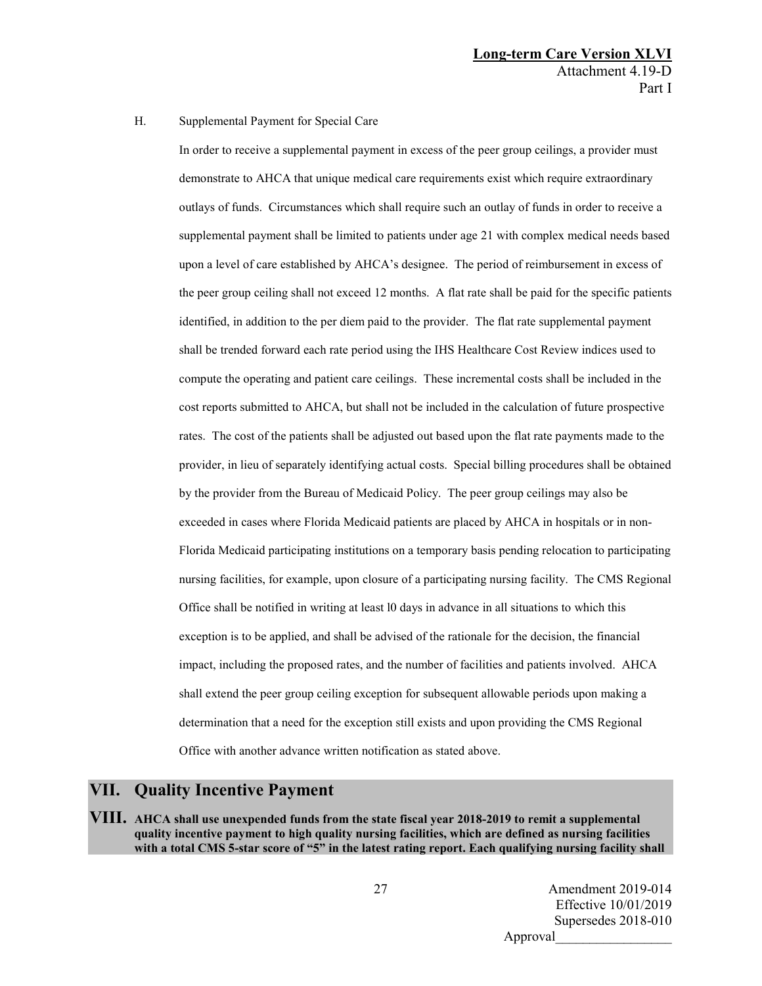### H. Supplemental Payment for Special Care

In order to receive a supplemental payment in excess of the peer group ceilings, a provider must demonstrate to AHCA that unique medical care requirements exist which require extraordinary outlays of funds. Circumstances which shall require such an outlay of funds in order to receive a supplemental payment shall be limited to patients under age 21 with complex medical needs based upon a level of care established by AHCA's designee. The period of reimbursement in excess of the peer group ceiling shall not exceed 12 months. A flat rate shall be paid for the specific patients identified, in addition to the per diem paid to the provider. The flat rate supplemental payment shall be trended forward each rate period using the IHS Healthcare Cost Review indices used to compute the operating and patient care ceilings. These incremental costs shall be included in the cost reports submitted to AHCA, but shall not be included in the calculation of future prospective rates. The cost of the patients shall be adjusted out based upon the flat rate payments made to the provider, in lieu of separately identifying actual costs. Special billing procedures shall be obtained by the provider from the Bureau of Medicaid Policy. The peer group ceilings may also be exceeded in cases where Florida Medicaid patients are placed by AHCA in hospitals or in non-Florida Medicaid participating institutions on a temporary basis pending relocation to participating nursing facilities, for example, upon closure of a participating nursing facility. The CMS Regional Office shall be notified in writing at least l0 days in advance in all situations to which this exception is to be applied, and shall be advised of the rationale for the decision, the financial impact, including the proposed rates, and the number of facilities and patients involved. AHCA shall extend the peer group ceiling exception for subsequent allowable periods upon making a determination that a need for the exception still exists and upon providing the CMS Regional Office with another advance written notification as stated above.

# **VII. Quality Incentive Payment**

**VIII. AHCA shall use unexpended funds from the state fiscal year 2018-2019 to remit a supplemental quality incentive payment to high quality nursing facilities, which are defined as nursing facilities with a total CMS 5-star score of "5" in the latest rating report. Each qualifying nursing facility shall**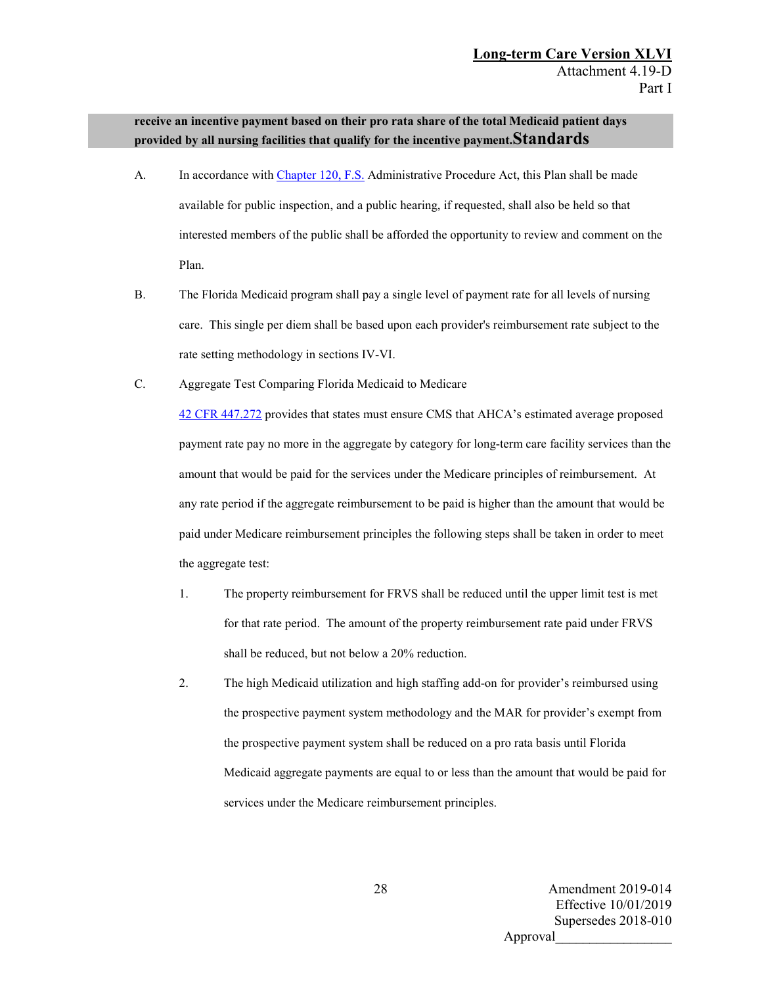## **receive an incentive payment based on their pro rata share of the total Medicaid patient days provided by all nursing facilities that qualify for the incentive payment.Standards**

- A. In accordance wit[h Chapter 120, F.S.](http://www.leg.state.fl.us/statutes/index.cfm?App_mode=Display_Statute&URL=0100-0199/0120/0120ContentsIndex.html) Administrative Procedure Act, this Plan shall be made available for public inspection, and a public hearing, if requested, shall also be held so that interested members of the public shall be afforded the opportunity to review and comment on the Plan.
- B. The Florida Medicaid program shall pay a single level of payment rate for all levels of nursing care. This single per diem shall be based upon each provider's reimbursement rate subject to the rate setting methodology in sections IV-VI.
- C. Aggregate Test Comparing Florida Medicaid to Medicare

[42 CFR 447.272](https://www.govinfo.gov/content/pkg/CFR-2018-title42-vol4/pdf/CFR-2018-title42-vol4-sec447-272.pdf) provides that states must ensure CMS that AHCA's estimated average proposed payment rate pay no more in the aggregate by category for long-term care facility services than the amount that would be paid for the services under the Medicare principles of reimbursement. At any rate period if the aggregate reimbursement to be paid is higher than the amount that would be paid under Medicare reimbursement principles the following steps shall be taken in order to meet the aggregate test:

- 1. The property reimbursement for FRVS shall be reduced until the upper limit test is met for that rate period. The amount of the property reimbursement rate paid under FRVS shall be reduced, but not below a 20% reduction.
- 2. The high Medicaid utilization and high staffing add-on for provider's reimbursed using the prospective payment system methodology and the MAR for provider's exempt from the prospective payment system shall be reduced on a pro rata basis until Florida Medicaid aggregate payments are equal to or less than the amount that would be paid for services under the Medicare reimbursement principles.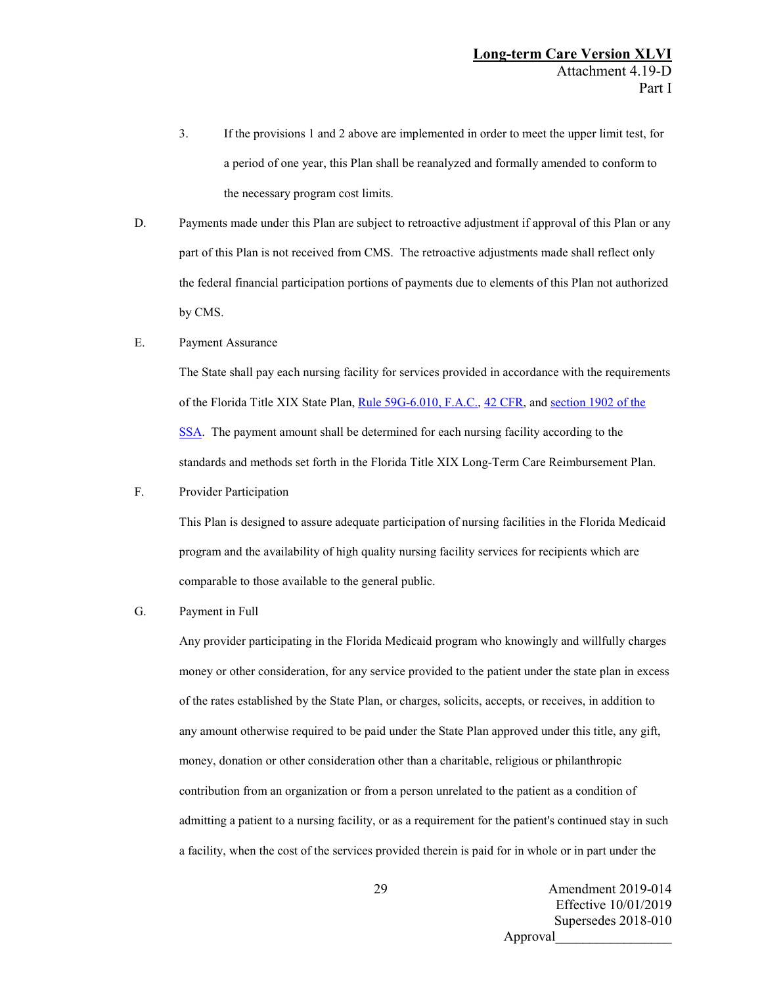- 3. If the provisions 1 and 2 above are implemented in order to meet the upper limit test, for a period of one year, this Plan shall be reanalyzed and formally amended to conform to the necessary program cost limits.
- D. Payments made under this Plan are subject to retroactive adjustment if approval of this Plan or any part of this Plan is not received from CMS. The retroactive adjustments made shall reflect only the federal financial participation portions of payments due to elements of this Plan not authorized by CMS.

### E. Payment Assurance

The State shall pay each nursing facility for services provided in accordance with the requirements of the Florida Title XIX State Plan, [Rule 59G-6.010, F.A.C.,](https://www.flrules.org/gateway/ruleNo.asp?id=59G-6.010) [42 CFR,](https://www.govinfo.gov/content/pkg/CFR-2018-title42-vol1/pdf/CFR-2018-title42-vol1.pdf) and [section 1902 of the](http://www.ssa.gov/OP_Home/ssact/title19/1902.htm)  [SSA.](http://www.ssa.gov/OP_Home/ssact/title19/1902.htm) The payment amount shall be determined for each nursing facility according to the standards and methods set forth in the Florida Title XIX Long-Term Care Reimbursement Plan.

### F. Provider Participation

This Plan is designed to assure adequate participation of nursing facilities in the Florida Medicaid program and the availability of high quality nursing facility services for recipients which are comparable to those available to the general public.

#### G. Payment in Full

Any provider participating in the Florida Medicaid program who knowingly and willfully charges money or other consideration, for any service provided to the patient under the state plan in excess of the rates established by the State Plan, or charges, solicits, accepts, or receives, in addition to any amount otherwise required to be paid under the State Plan approved under this title, any gift, money, donation or other consideration other than a charitable, religious or philanthropic contribution from an organization or from a person unrelated to the patient as a condition of admitting a patient to a nursing facility, or as a requirement for the patient's continued stay in such a facility, when the cost of the services provided therein is paid for in whole or in part under the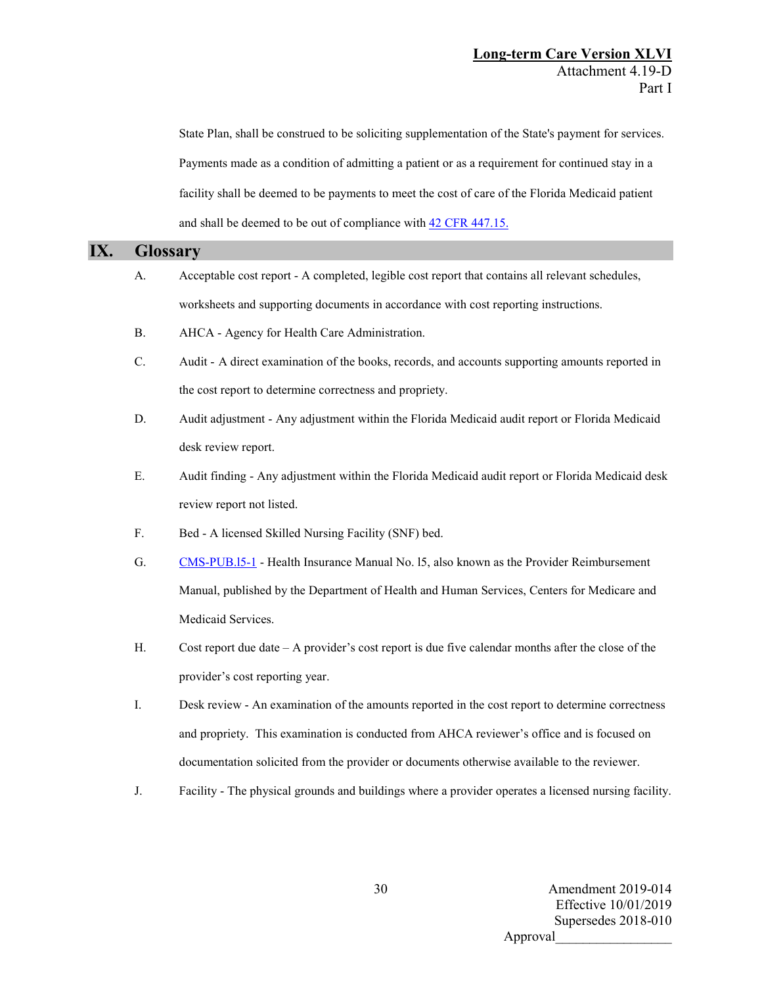State Plan, shall be construed to be soliciting supplementation of the State's payment for services. Payments made as a condition of admitting a patient or as a requirement for continued stay in a facility shall be deemed to be payments to meet the cost of care of the Florida Medicaid patient and shall be deemed to be out of compliance with [42 CFR 447.15.](https://www.govinfo.gov/content/pkg/CFR-2018-title42-vol4/pdf/CFR-2018-title42-vol4-sec447-15.pdf)

## **IX. Glossary**

- A. Acceptable cost report A completed, legible cost report that contains all relevant schedules, worksheets and supporting documents in accordance with cost reporting instructions.
- B. AHCA Agency for Health Care Administration.
- C. Audit A direct examination of the books, records, and accounts supporting amounts reported in the cost report to determine correctness and propriety.
- D. Audit adjustment Any adjustment within the Florida Medicaid audit report or Florida Medicaid desk review report.
- E. Audit finding Any adjustment within the Florida Medicaid audit report or Florida Medicaid desk review report not listed.
- F. Bed A licensed Skilled Nursing Facility (SNF) bed.
- G. [CMS-PUB.l5-1](https://www.cms.gov/Regulations-and-Guidance/Guidance/Manuals/Paper-Based-Manuals-Items/CMS021929.html) Health Insurance Manual No. l5, also known as the Provider Reimbursement Manual, published by the Department of Health and Human Services, Centers for Medicare and Medicaid Services.
- H. Cost report due date A provider's cost report is due five calendar months after the close of the provider's cost reporting year.
- I. Desk review An examination of the amounts reported in the cost report to determine correctness and propriety. This examination is conducted from AHCA reviewer's office and is focused on documentation solicited from the provider or documents otherwise available to the reviewer.
- J. Facility The physical grounds and buildings where a provider operates a licensed nursing facility.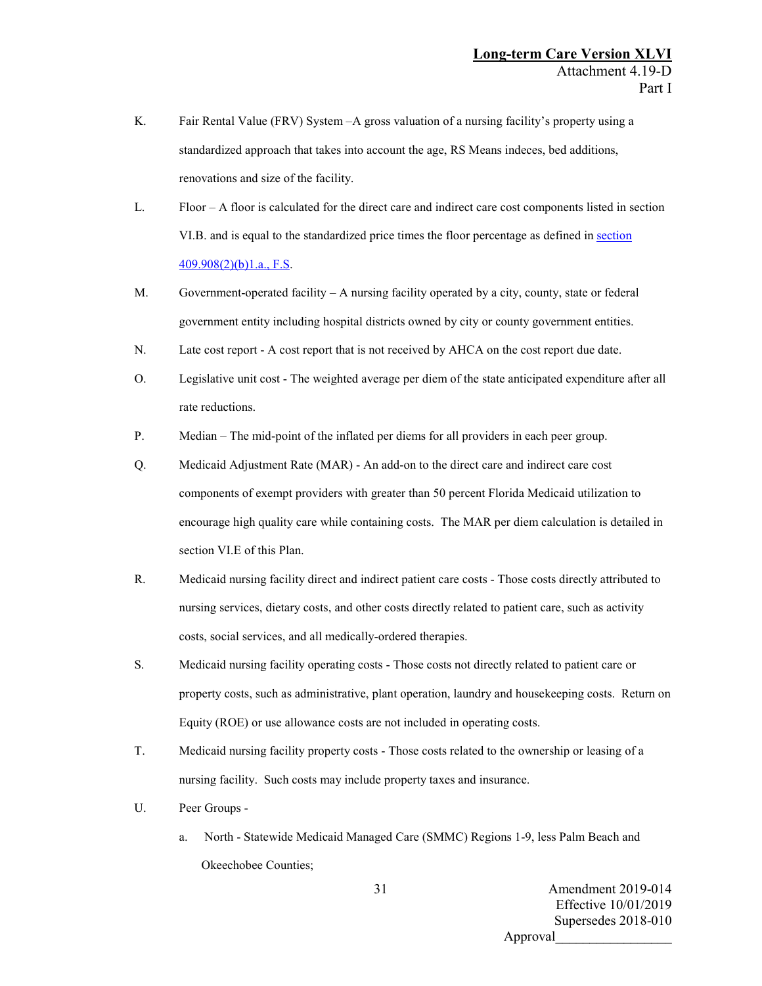- K. Fair Rental Value (FRV) System –A gross valuation of a nursing facility's property using a standardized approach that takes into account the age, RS Means indeces, bed additions, renovations and size of the facility.
- L. Floor A floor is calculated for the direct care and indirect care cost components listed in section VI.B. and is equal to the standardized price times the floor percentage as defined i[n section](http://www.leg.state.fl.us/statutes/index.cfm?App_mode=Display_Statute&Search_String=&URL=0400-0499/0409/Sections/0409.908.html)   $409.908(2)(b)1.a., F.S.$
- M. Government-operated facility A nursing facility operated by a city, county, state or federal government entity including hospital districts owned by city or county government entities.
- N. Late cost report A cost report that is not received by AHCA on the cost report due date.
- O. Legislative unit cost The weighted average per diem of the state anticipated expenditure after all rate reductions.
- P. Median The mid-point of the inflated per diems for all providers in each peer group.
- Q. Medicaid Adjustment Rate (MAR) An add-on to the direct care and indirect care cost components of exempt providers with greater than 50 percent Florida Medicaid utilization to encourage high quality care while containing costs. The MAR per diem calculation is detailed in section VI.E of this Plan.
- R. Medicaid nursing facility direct and indirect patient care costs Those costs directly attributed to nursing services, dietary costs, and other costs directly related to patient care, such as activity costs, social services, and all medically-ordered therapies.
- S. Medicaid nursing facility operating costs Those costs not directly related to patient care or property costs, such as administrative, plant operation, laundry and housekeeping costs. Return on Equity (ROE) or use allowance costs are not included in operating costs.
- T. Medicaid nursing facility property costs Those costs related to the ownership or leasing of a nursing facility. Such costs may include property taxes and insurance.
- U. Peer Groups
	- a. North Statewide Medicaid Managed Care (SMMC) Regions 1-9, less Palm Beach and Okeechobee Counties;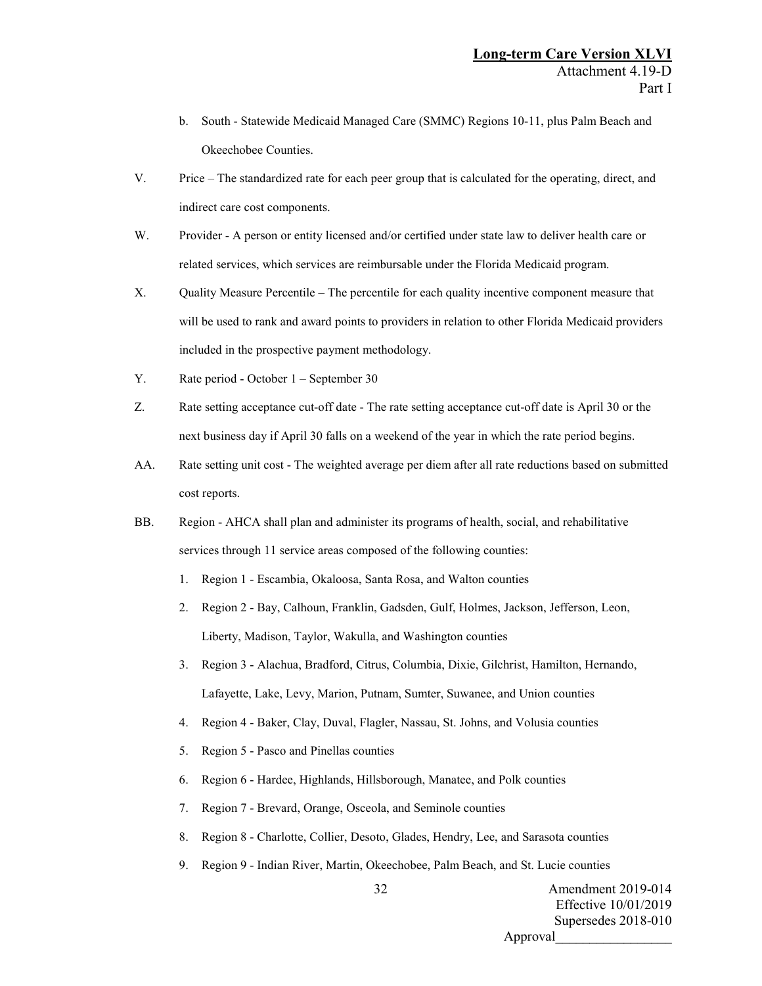- b. South Statewide Medicaid Managed Care (SMMC) Regions 10-11, plus Palm Beach and Okeechobee Counties.
- V. Price The standardized rate for each peer group that is calculated for the operating, direct, and indirect care cost components.
- W. Provider A person or entity licensed and/or certified under state law to deliver health care or related services, which services are reimbursable under the Florida Medicaid program.
- X. Quality Measure Percentile The percentile for each quality incentive component measure that will be used to rank and award points to providers in relation to other Florida Medicaid providers included in the prospective payment methodology.
- Y. Rate period October 1 September 30
- Z. Rate setting acceptance cut-off date The rate setting acceptance cut-off date is April 30 or the next business day if April 30 falls on a weekend of the year in which the rate period begins.
- AA. Rate setting unit cost The weighted average per diem after all rate reductions based on submitted cost reports.
- BB. Region AHCA shall plan and administer its programs of health, social, and rehabilitative services through 11 service areas composed of the following counties:
	- 1. Region 1 Escambia, Okaloosa, Santa Rosa, and Walton counties
	- 2. Region 2 Bay, Calhoun, Franklin, Gadsden, Gulf, Holmes, Jackson, Jefferson, Leon, Liberty, Madison, Taylor, Wakulla, and Washington counties
	- 3. Region 3 Alachua, Bradford, Citrus, Columbia, Dixie, Gilchrist, Hamilton, Hernando, Lafayette, Lake, Levy, Marion, Putnam, Sumter, Suwanee, and Union counties
	- 4. Region 4 Baker, Clay, Duval, Flagler, Nassau, St. Johns, and Volusia counties
	- 5. Region 5 Pasco and Pinellas counties
	- 6. Region 6 Hardee, Highlands, Hillsborough, Manatee, and Polk counties
	- 7. Region 7 Brevard, Orange, Osceola, and Seminole counties
	- 8. Region 8 Charlotte, Collier, Desoto, Glades, Hendry, Lee, and Sarasota counties
	- 9. Region 9 Indian River, Martin, Okeechobee, Palm Beach, and St. Lucie counties

32 Amendment 2019-014 Effective 10/01/2019 Supersedes 2018-010 Approval\_\_\_\_\_\_\_\_\_\_\_\_\_\_\_\_\_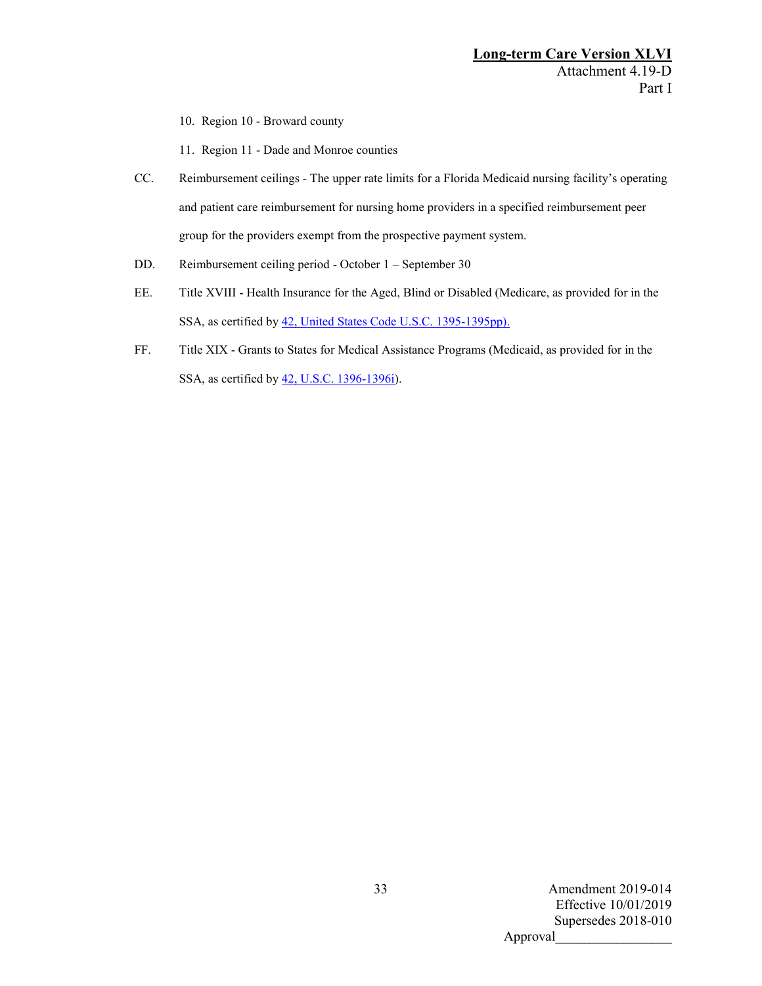10. Region 10 - Broward county

11. Region 11 - Dade and Monroe counties

- CC. Reimbursement ceilings The upper rate limits for a Florida Medicaid nursing facility's operating and patient care reimbursement for nursing home providers in a specified reimbursement peer group for the providers exempt from the prospective payment system.
- DD. Reimbursement ceiling period October 1 September 30
- EE. Title XVIII Health Insurance for the Aged, Blind or Disabled (Medicare, as provided for in the SSA, as certified b[y 42, United States Code U.S.C. 1395-1395pp\).](https://www.govinfo.gov/content/pkg/USCODE-2017-title42/html/USCODE-2017-title42-chap7-subchapXVIII.htm)
- FF. Title XIX Grants to States for Medical Assistance Programs (Medicaid, as provided for in the SSA, as certified b[y 42, U.S.C. 1396-1396i\)](https://www.govinfo.gov/content/pkg/USCODE-2017-title42/html/USCODE-2017-title42-chap7-subchapXIX.htm).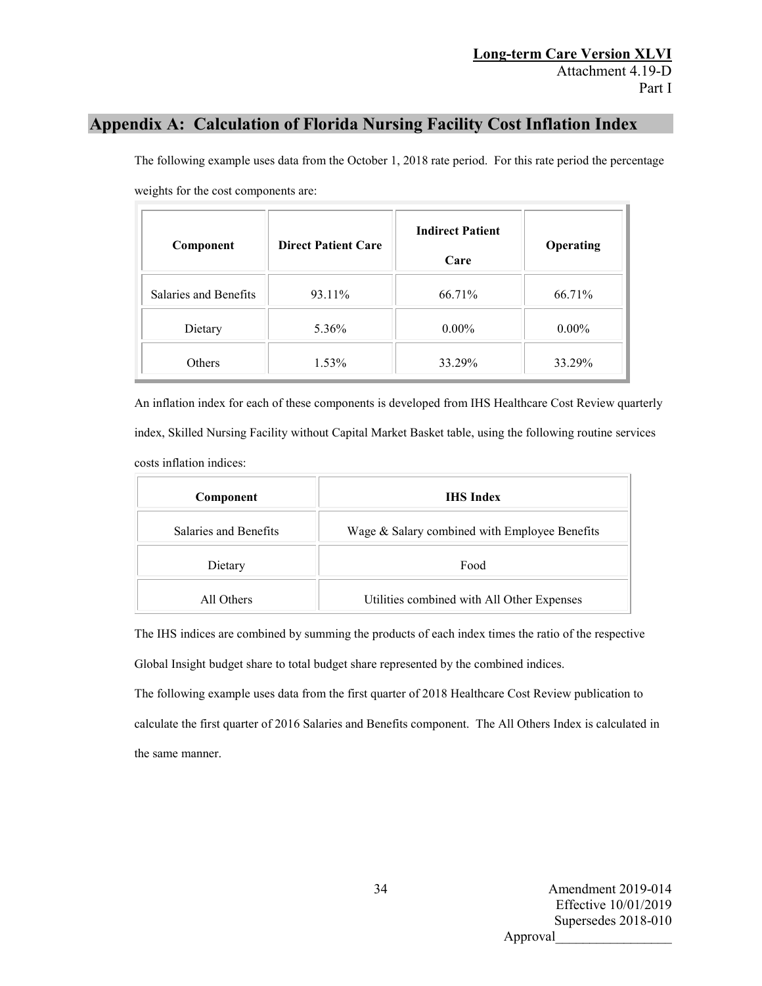# **Appendix A: Calculation of Florida Nursing Facility Cost Inflation Index**

The following example uses data from the October 1, 2018 rate period. For this rate period the percentage

| Component             | <b>Direct Patient Care</b> | <b>Indirect Patient</b><br>Care | Operating |
|-----------------------|----------------------------|---------------------------------|-----------|
| Salaries and Benefits | 93.11%                     | 66.71%                          | 66.71%    |
| Dietary               | 5.36%                      | $0.00\%$                        | $0.00\%$  |
| Others                | 1.53%                      | 33.29%                          | 33.29%    |

weights for the cost components are:

An inflation index for each of these components is developed from IHS Healthcare Cost Review quarterly index, Skilled Nursing Facility without Capital Market Basket table, using the following routine services costs inflation indices:

| Component             | <b>IHS Index</b>                              |  |
|-----------------------|-----------------------------------------------|--|
| Salaries and Benefits | Wage & Salary combined with Employee Benefits |  |
| Dietary               | Food                                          |  |
| All Others            | Utilities combined with All Other Expenses    |  |

The IHS indices are combined by summing the products of each index times the ratio of the respective Global Insight budget share to total budget share represented by the combined indices.

The following example uses data from the first quarter of 2018 Healthcare Cost Review publication to calculate the first quarter of 2016 Salaries and Benefits component. The All Others Index is calculated in the same manner.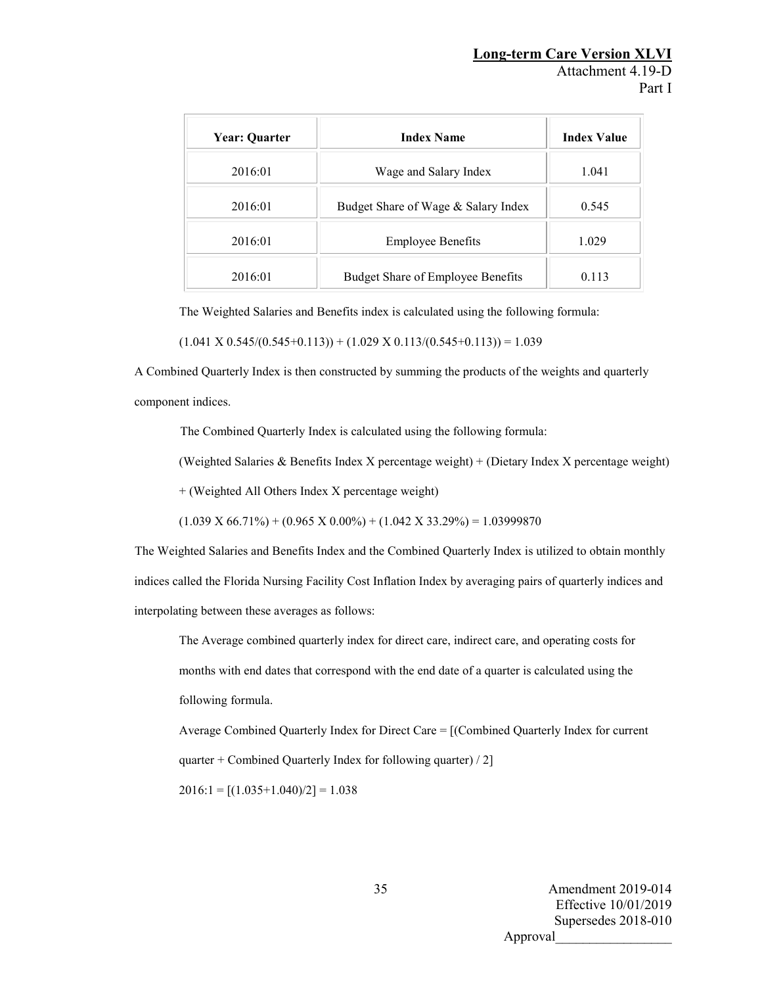| <b>Year: Quarter</b> | <b>Index Name</b>                   | <b>Index Value</b> |
|----------------------|-------------------------------------|--------------------|
| 2016:01              | Wage and Salary Index               | 1.041              |
| 2016:01              | Budget Share of Wage & Salary Index | 0.545              |
| 2016:01              | <b>Employee Benefits</b>            | 1.029              |
| 2016:01              | Budget Share of Employee Benefits   | 0.113              |

The Weighted Salaries and Benefits index is calculated using the following formula:

 $(1.041 \times 0.545/(0.545+0.113)) + (1.029 \times 0.113/(0.545+0.113)) = 1.039$ 

A Combined Quarterly Index is then constructed by summing the products of the weights and quarterly component indices.

The Combined Quarterly Index is calculated using the following formula:

(Weighted Salaries & Benefits Index X percentage weight) + (Dietary Index X percentage weight)

+ (Weighted All Others Index X percentage weight)

 $(1.039 \text{ X } 66.71\%) + (0.965 \text{ X } 0.00\%) + (1.042 \text{ X } 33.29\%) = 1.03999870$ 

The Weighted Salaries and Benefits Index and the Combined Quarterly Index is utilized to obtain monthly indices called the Florida Nursing Facility Cost Inflation Index by averaging pairs of quarterly indices and interpolating between these averages as follows:

The Average combined quarterly index for direct care, indirect care, and operating costs for months with end dates that correspond with the end date of a quarter is calculated using the following formula.

Average Combined Quarterly Index for Direct Care = [(Combined Quarterly Index for current quarter + Combined Quarterly Index for following quarter) / 2]

 $2016:1 = [(1.035+1.040)/2] = 1.038$ 

35 Amendment 2019-014 Effective 10/01/2019 Supersedes 2018-010 Approval\_\_\_\_\_\_\_\_\_\_\_\_\_\_\_\_\_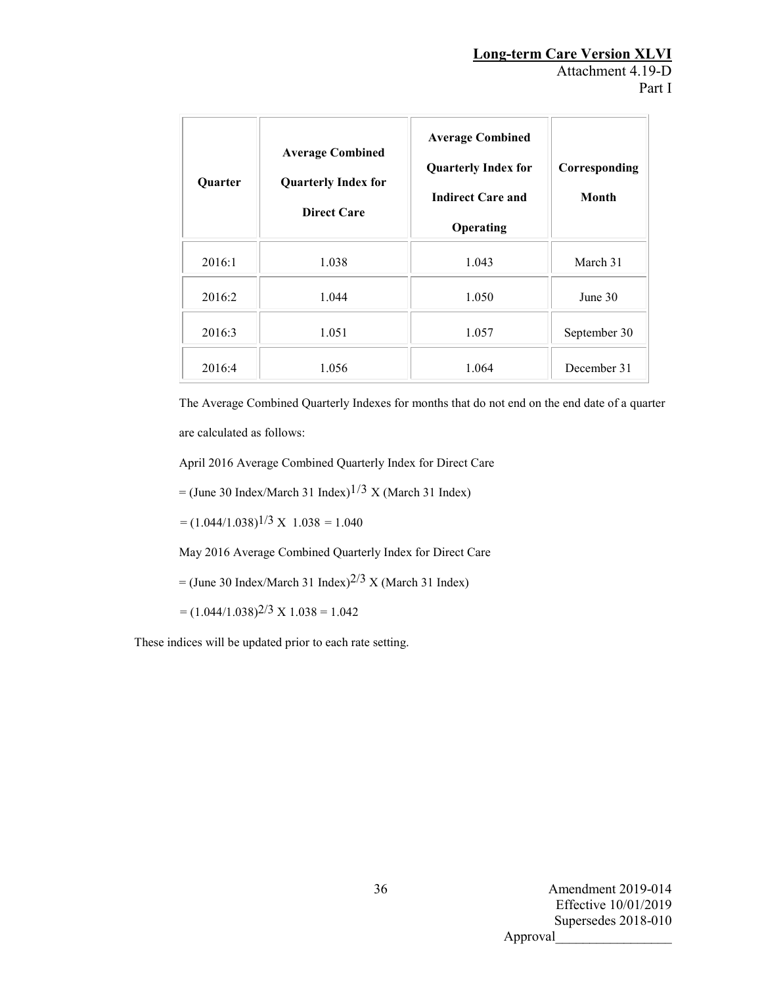| Quarter | <b>Average Combined</b><br><b>Quarterly Index for</b><br><b>Direct Care</b> | <b>Average Combined</b><br><b>Quarterly Index for</b><br><b>Indirect Care and</b><br>Operating | Corresponding<br>Month |
|---------|-----------------------------------------------------------------------------|------------------------------------------------------------------------------------------------|------------------------|
| 2016:1  | 1.038                                                                       | 1.043                                                                                          | March 31               |
| 2016:2  | 1.044                                                                       | 1.050                                                                                          | June 30                |
| 2016:3  | 1.051                                                                       | 1.057                                                                                          | September 30           |
| 2016:4  | 1.056                                                                       | 1.064                                                                                          | December 31            |

The Average Combined Quarterly Indexes for months that do not end on the end date of a quarter

are calculated as follows:

April 2016 Average Combined Quarterly Index for Direct Care

 $=$  (June 30 Index/March 31 Index)<sup>1/3</sup> X (March 31 Index)

 $= (1.044/1.038)^{1/3} \times 1.038 = 1.040$ 

May 2016 Average Combined Quarterly Index for Direct Care

 $=$  (June 30 Index/March 31 Index)<sup>2/3</sup> X (March 31 Index)

 $= (1.044/1.038)^{2/3} \times 1.038 = 1.042$ 

These indices will be updated prior to each rate setting.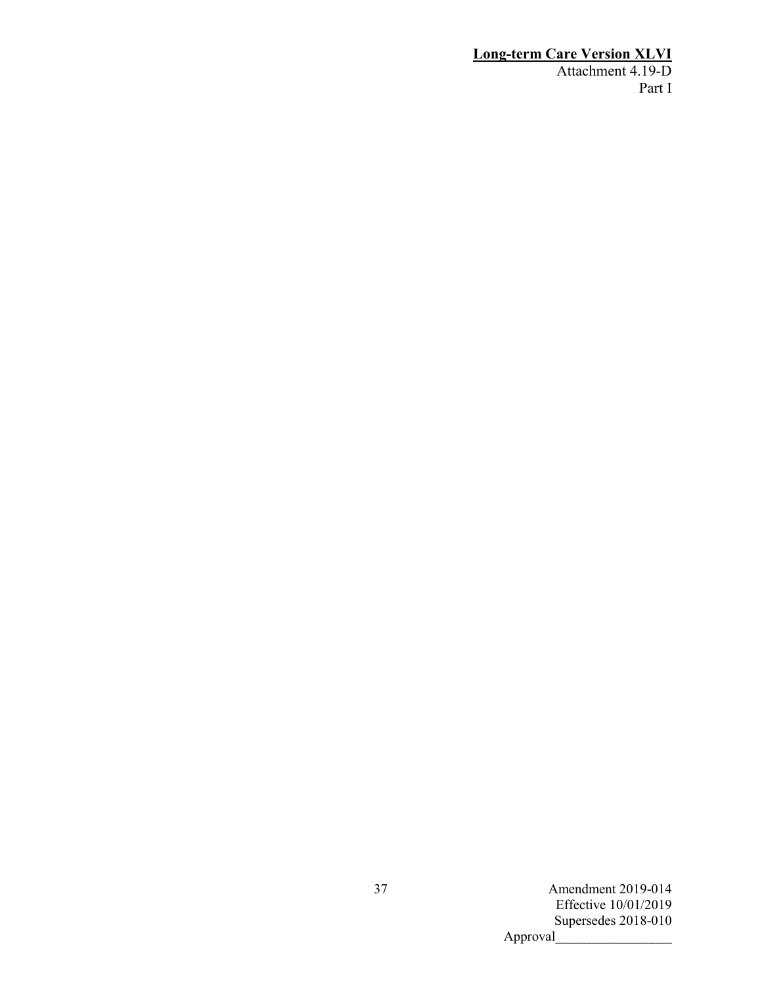# **Long-term Care Version XLVI**

Attachment 4.19-D Part I

37 Amendment 2019-014 Effective 10/01/2019 Supersedes 2018-010

Approval\_\_\_\_\_\_\_\_\_\_\_\_\_\_\_\_\_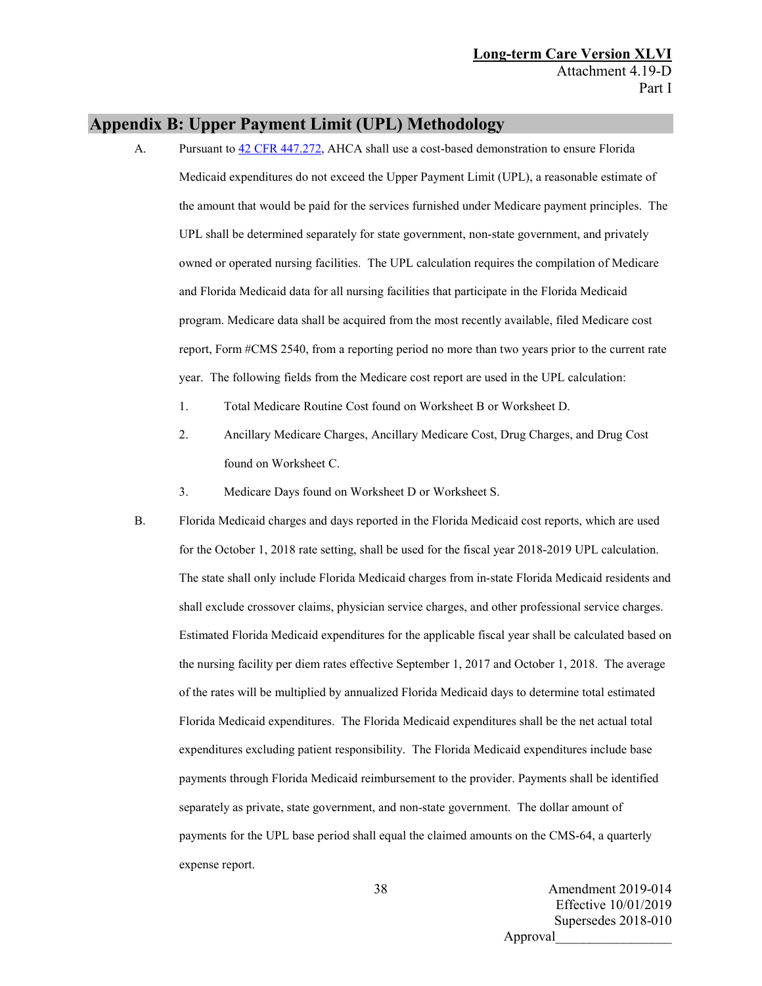# **Appendix B: Upper Payment Limit (UPL) Methodology**

- A. Pursuant to  $42 \text{ CFR } 447.272$ , AHCA shall use a cost-based demonstration to ensure Florida Medicaid expenditures do not exceed the Upper Payment Limit (UPL), a reasonable estimate of the amount that would be paid for the services furnished under Medicare payment principles. The UPL shall be determined separately for state government, non-state government, and privately owned or operated nursing facilities. The UPL calculation requires the compilation of Medicare and Florida Medicaid data for all nursing facilities that participate in the Florida Medicaid program. Medicare data shall be acquired from the most recently available, filed Medicare cost report, Form #CMS 2540, from a reporting period no more than two years prior to the current rate year. The following fields from the Medicare cost report are used in the UPL calculation:
	- 1. Total Medicare Routine Cost found on Worksheet B or Worksheet D.
	- 2. Ancillary Medicare Charges, Ancillary Medicare Cost, Drug Charges, and Drug Cost found on Worksheet C.
	- 3. Medicare Days found on Worksheet D or Worksheet S.
- B. Florida Medicaid charges and days reported in the Florida Medicaid cost reports, which are used for the October 1, 2018 rate setting, shall be used for the fiscal year 2018-2019 UPL calculation. The state shall only include Florida Medicaid charges from in-state Florida Medicaid residents and shall exclude crossover claims, physician service charges, and other professional service charges. Estimated Florida Medicaid expenditures for the applicable fiscal year shall be calculated based on the nursing facility per diem rates effective September 1, 2017 and October 1, 2018. The average of the rates will be multiplied by annualized Florida Medicaid days to determine total estimated Florida Medicaid expenditures. The Florida Medicaid expenditures shall be the net actual total expenditures excluding patient responsibility. The Florida Medicaid expenditures include base payments through Florida Medicaid reimbursement to the provider. Payments shall be identified separately as private, state government, and non-state government. The dollar amount of payments for the UPL base period shall equal the claimed amounts on the CMS-64, a quarterly expense report.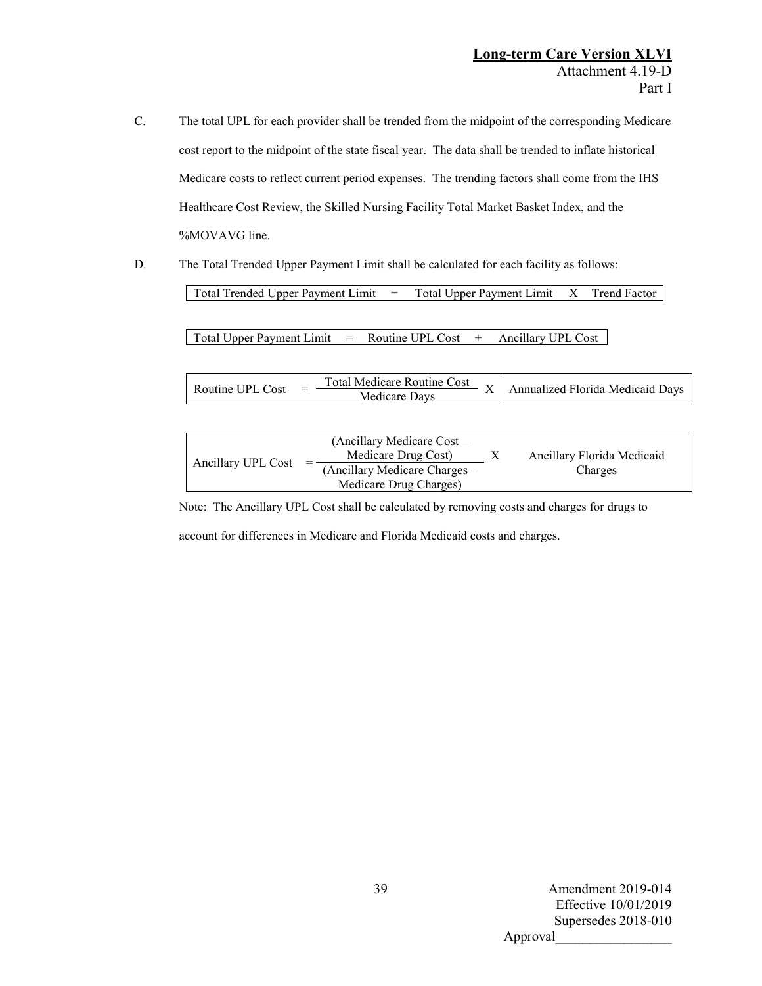- C. The total UPL for each provider shall be trended from the midpoint of the corresponding Medicare cost report to the midpoint of the state fiscal year. The data shall be trended to inflate historical Medicare costs to reflect current period expenses. The trending factors shall come from the IHS Healthcare Cost Review, the Skilled Nursing Facility Total Market Basket Index, and the %MOVAVG line.
- D. The Total Trended Upper Payment Limit shall be calculated for each facility as follows:

Total Trended Upper Payment Limit = Total Upper Payment Limit X Trend Factor

Total Upper Payment Limit = Routine UPL Cost + Ancillary UPL Cost

Routine UPL Cost  $=$   $\frac{\text{Total Medicine Cost}}{\text{Medicare Days}}$  X Annualized Florida Medicaid Days

| Ancillary UPL Cost | (Ancillary Medicare Cost –<br>Medicare Drug Cost)              | Ancillary Florida Medicaid |
|--------------------|----------------------------------------------------------------|----------------------------|
|                    | $=$<br>(Ancillary Medicare Charges -<br>Medicare Drug Charges) | Charges                    |

Note: The Ancillary UPL Cost shall be calculated by removing costs and charges for drugs to

account for differences in Medicare and Florida Medicaid costs and charges.

39 Amendment 2019-014 Effective 10/01/2019 Supersedes 2018-010 Approval\_\_\_\_\_\_\_\_\_\_\_\_\_\_\_\_\_